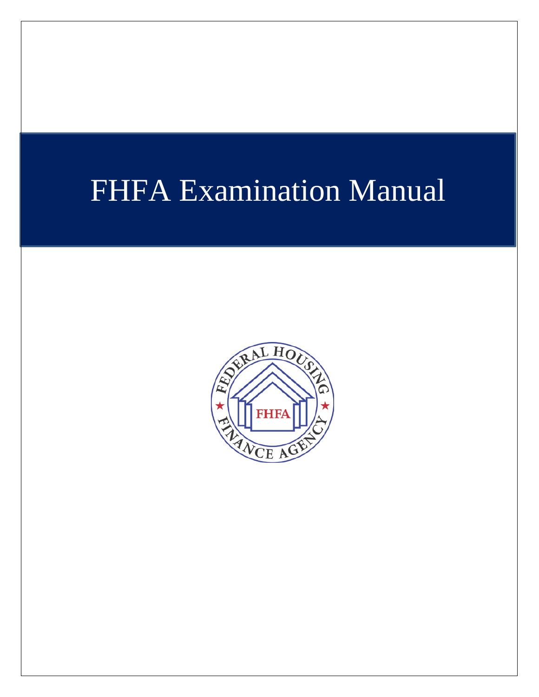# FHFA Examination Manual

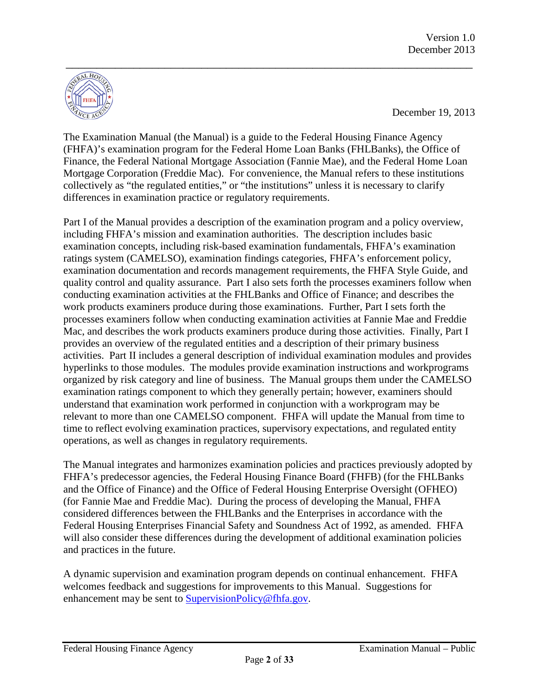

December 19, 2013

The Examination Manual (the Manual) is a guide to the Federal Housing Finance Agency (FHFA)'s examination program for the Federal Home Loan Banks (FHLBanks), the Office of Finance, the Federal National Mortgage Association (Fannie Mae), and the Federal Home Loan Mortgage Corporation (Freddie Mac). For convenience, the Manual refers to these institutions collectively as "the regulated entities," or "the institutions" unless it is necessary to clarify differences in examination practice or regulatory requirements.

Part I of the Manual provides a description of the examination program and a policy overview, including FHFA's mission and examination authorities. The description includes basic examination concepts, including risk-based examination fundamentals, FHFA's examination ratings system (CAMELSO), examination findings categories, FHFA's enforcement policy, examination documentation and records management requirements, the FHFA Style Guide, and quality control and quality assurance. Part I also sets forth the processes examiners follow when conducting examination activities at the FHLBanks and Office of Finance; and describes the work products examiners produce during those examinations. Further, Part I sets forth the processes examiners follow when conducting examination activities at Fannie Mae and Freddie Mac, and describes the work products examiners produce during those activities. Finally, Part I provides an overview of the regulated entities and a description of their primary business activities. Part II includes a general description of individual examination modules and provides hyperlinks to those modules. The modules provide examination instructions and workprograms organized by risk category and line of business. The Manual groups them under the CAMELSO examination ratings component to which they generally pertain; however, examiners should understand that examination work performed in conjunction with a workprogram may be relevant to more than one CAMELSO component. FHFA will update the Manual from time to time to reflect evolving examination practices, supervisory expectations, and regulated entity operations, as well as changes in regulatory requirements.

The Manual integrates and harmonizes examination policies and practices previously adopted by FHFA's predecessor agencies, the Federal Housing Finance Board (FHFB) (for the FHLBanks and the Office of Finance) and the Office of Federal Housing Enterprise Oversight (OFHEO) (for Fannie Mae and Freddie Mac). During the process of developing the Manual, FHFA considered differences between the FHLBanks and the Enterprises in accordance with the Federal Housing Enterprises Financial Safety and Soundness Act of 1992, as amended. FHFA will also consider these differences during the development of additional examination policies and practices in the future.

A dynamic supervision and examination program depends on continual enhancement. FHFA welcomes feedback and suggestions for improvements to this Manual. Suggestions for enhancement may be sent to [SupervisionPolicy@fhfa.gov.](mailto:SupervisionPolicy@fhfa.gov)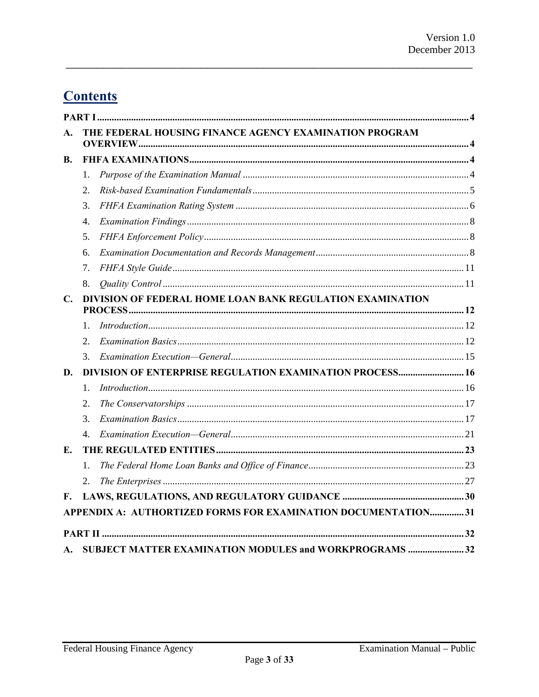# **Contents**

| A.             | THE FEDERAL HOUSING FINANCE AGENCY EXAMINATION PROGRAM          |  |  |  |  |
|----------------|-----------------------------------------------------------------|--|--|--|--|
| В.             |                                                                 |  |  |  |  |
|                | 1.                                                              |  |  |  |  |
|                | 2.                                                              |  |  |  |  |
|                | 3.                                                              |  |  |  |  |
|                | 4.                                                              |  |  |  |  |
|                | 5.                                                              |  |  |  |  |
|                | 6.                                                              |  |  |  |  |
|                | 7.                                                              |  |  |  |  |
|                | 8.                                                              |  |  |  |  |
| $\mathbf{C}$ . | DIVISION OF FEDERAL HOME LOAN BANK REGULATION EXAMINATION       |  |  |  |  |
|                |                                                                 |  |  |  |  |
|                | 1.                                                              |  |  |  |  |
|                | 2.                                                              |  |  |  |  |
|                | 3.                                                              |  |  |  |  |
| D.             | <b>DIVISION OF ENTERPRISE REGULATION EXAMINATION PROCESS 16</b> |  |  |  |  |
|                | $\mathbf{1}$ .                                                  |  |  |  |  |
|                | 2.                                                              |  |  |  |  |
|                | 3.                                                              |  |  |  |  |
|                | $\mathcal{A}_{\cdot}$                                           |  |  |  |  |
| Е.             |                                                                 |  |  |  |  |
|                | 1.                                                              |  |  |  |  |
|                | 2.                                                              |  |  |  |  |
| F.             |                                                                 |  |  |  |  |
|                | APPENDIX A: AUTHORTIZED FORMS FOR EXAMINATION DOCUMENTATION31   |  |  |  |  |
|                |                                                                 |  |  |  |  |
| A.             | SUBJECT MATTER EXAMINATION MODULES and WORKPROGRAMS 32          |  |  |  |  |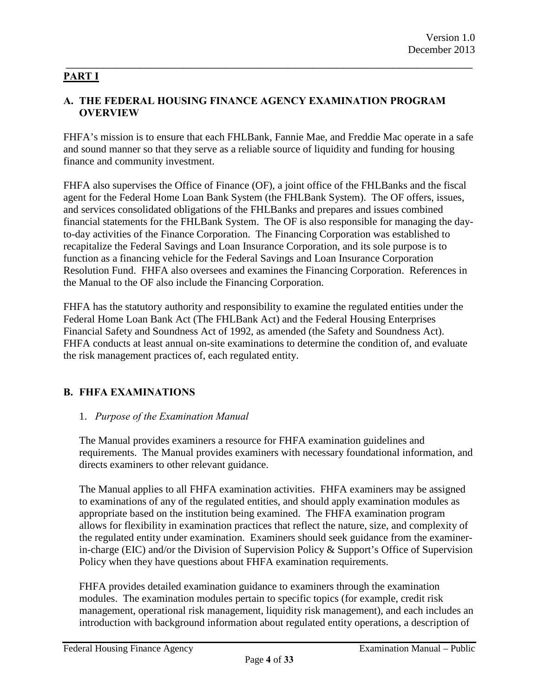#### <span id="page-3-0"></span>\_\_\_\_\_\_\_\_\_\_\_\_\_\_\_\_\_\_\_\_\_\_\_\_\_\_\_\_\_\_\_\_\_\_\_\_\_\_\_\_\_\_\_\_\_\_\_\_\_\_\_\_\_\_\_\_\_\_\_\_\_\_\_\_\_\_ **PART I**

#### <span id="page-3-1"></span>**A. THE FEDERAL HOUSING FINANCE AGENCY EXAMINATION PROGRAM OVERVIEW**

FHFA's mission is to ensure that each FHLBank, Fannie Mae, and Freddie Mac operate in a safe and sound manner so that they serve as a reliable source of liquidity and funding for housing finance and community investment.

FHFA also supervises the Office of Finance (OF), a joint office of the FHLBanks and the fiscal agent for the Federal Home Loan Bank System (the FHLBank System). The OF offers, issues, and services consolidated obligations of the FHLBanks and prepares and issues combined financial statements for the FHLBank System. The OF is also responsible for managing the dayto-day activities of the Finance Corporation. The Financing Corporation was established to recapitalize the Federal Savings and Loan Insurance Corporation, and its sole purpose is to function as a financing vehicle for the Federal Savings and Loan Insurance Corporation Resolution Fund. FHFA also oversees and examines the Financing Corporation. References in the Manual to the OF also include the Financing Corporation.

FHFA has the statutory authority and responsibility to examine the regulated entities under the Federal Home Loan Bank Act (The FHLBank Act) and the Federal Housing Enterprises Financial Safety and Soundness Act of 1992, as amended (the Safety and Soundness Act). FHFA conducts at least annual on-site examinations to determine the condition of, and evaluate the risk management practices of, each regulated entity.

#### <span id="page-3-2"></span>**B. FHFA EXAMINATIONS**

#### <span id="page-3-3"></span>1. *Purpose of the Examination Manual*

The Manual provides examiners a resource for FHFA examination guidelines and requirements. The Manual provides examiners with necessary foundational information, and directs examiners to other relevant guidance.

The Manual applies to all FHFA examination activities. FHFA examiners may be assigned to examinations of any of the regulated entities, and should apply examination modules as appropriate based on the institution being examined. The FHFA examination program allows for flexibility in examination practices that reflect the nature, size, and complexity of the regulated entity under examination. Examiners should seek guidance from the examinerin-charge (EIC) and/or the Division of Supervision Policy & Support's Office of Supervision Policy when they have questions about FHFA examination requirements.

FHFA provides detailed examination guidance to examiners through the examination modules. The examination modules pertain to specific topics (for example, credit risk management, operational risk management, liquidity risk management), and each includes an introduction with background information about regulated entity operations, a description of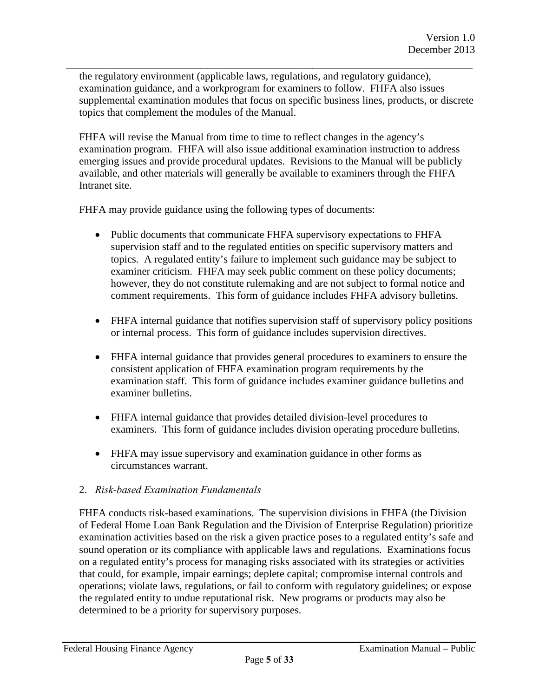the regulatory environment (applicable laws, regulations, and regulatory guidance), examination guidance, and a workprogram for examiners to follow. FHFA also issues supplemental examination modules that focus on specific business lines, products, or discrete topics that complement the modules of the Manual.

\_\_\_\_\_\_\_\_\_\_\_\_\_\_\_\_\_\_\_\_\_\_\_\_\_\_\_\_\_\_\_\_\_\_\_\_\_\_\_\_\_\_\_\_\_\_\_\_\_\_\_\_\_\_\_\_\_\_\_\_\_\_\_\_\_\_

FHFA will revise the Manual from time to time to reflect changes in the agency's examination program. FHFA will also issue additional examination instruction to address emerging issues and provide procedural updates. Revisions to the Manual will be publicly available, and other materials will generally be available to examiners through the FHFA Intranet site.

FHFA may provide guidance using the following types of documents:

- Public documents that communicate FHFA supervisory expectations to FHFA supervision staff and to the regulated entities on specific supervisory matters and topics. A regulated entity's failure to implement such guidance may be subject to examiner criticism. FHFA may seek public comment on these policy documents; however, they do not constitute rulemaking and are not subject to formal notice and comment requirements. This form of guidance includes FHFA advisory bulletins.
- FHFA internal guidance that notifies supervision staff of supervisory policy positions or internal process. This form of guidance includes supervision directives.
- FHFA internal guidance that provides general procedures to examiners to ensure the consistent application of FHFA examination program requirements by the examination staff. This form of guidance includes examiner guidance bulletins and examiner bulletins.
- FHFA internal guidance that provides detailed division-level procedures to examiners. This form of guidance includes division operating procedure bulletins.
- FHFA may issue supervisory and examination guidance in other forms as circumstances warrant.

#### <span id="page-4-0"></span>2. *Risk-based Examination Fundamentals*

FHFA conducts risk-based examinations. The supervision divisions in FHFA (the Division of Federal Home Loan Bank Regulation and the Division of Enterprise Regulation) prioritize examination activities based on the risk a given practice poses to a regulated entity's safe and sound operation or its compliance with applicable laws and regulations. Examinations focus on a regulated entity's process for managing risks associated with its strategies or activities that could, for example, impair earnings; deplete capital; compromise internal controls and operations; violate laws, regulations, or fail to conform with regulatory guidelines; or expose the regulated entity to undue reputational risk. New programs or products may also be determined to be a priority for supervisory purposes.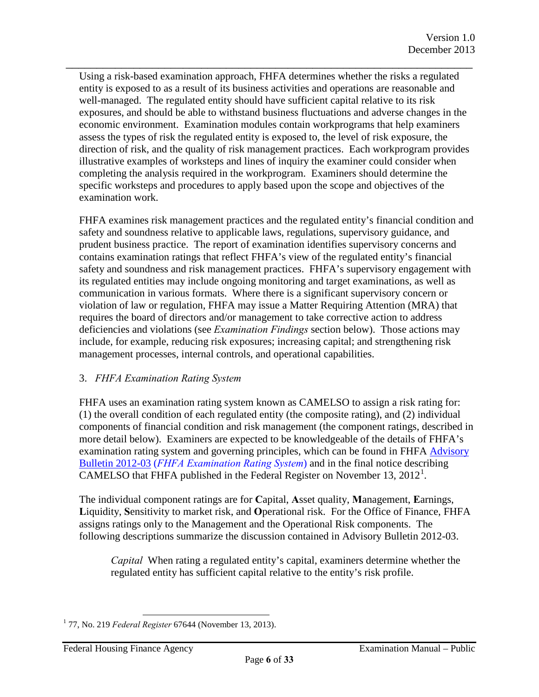Using a risk-based examination approach, FHFA determines whether the risks a regulated entity is exposed to as a result of its business activities and operations are reasonable and well-managed. The regulated entity should have sufficient capital relative to its risk exposures, and should be able to withstand business fluctuations and adverse changes in the economic environment. Examination modules contain workprograms that help examiners assess the types of risk the regulated entity is exposed to, the level of risk exposure, the direction of risk, and the quality of risk management practices. Each workprogram provides illustrative examples of worksteps and lines of inquiry the examiner could consider when completing the analysis required in the workprogram. Examiners should determine the specific worksteps and procedures to apply based upon the scope and objectives of the examination work.

\_\_\_\_\_\_\_\_\_\_\_\_\_\_\_\_\_\_\_\_\_\_\_\_\_\_\_\_\_\_\_\_\_\_\_\_\_\_\_\_\_\_\_\_\_\_\_\_\_\_\_\_\_\_\_\_\_\_\_\_\_\_\_\_\_\_

FHFA examines risk management practices and the regulated entity's financial condition and safety and soundness relative to applicable laws, regulations, supervisory guidance, and prudent business practice. The report of examination identifies supervisory concerns and contains examination ratings that reflect FHFA's view of the regulated entity's financial safety and soundness and risk management practices. FHFA's supervisory engagement with its regulated entities may include ongoing monitoring and target examinations, as well as communication in various formats. Where there is a significant supervisory concern or violation of law or regulation, FHFA may issue a Matter Requiring Attention (MRA) that requires the board of directors and/or management to take corrective action to address deficiencies and violations (see *Examination Findings* section below). Those actions may include, for example, reducing risk exposures; increasing capital; and strengthening risk management processes, internal controls, and operational capabilities.

#### <span id="page-5-0"></span>3. *FHFA Examination Rating System*

FHFA uses an examination rating system known as CAMELSO to assign a risk rating for: (1) the overall condition of each regulated entity (the composite rating), and (2) individual components of financial condition and risk management (the component ratings, described in more detail below). Examiners are expected to be knowledgeable of the details of FHFA's examination rating system and governing principles, which can be found in FHFA Advisory Bulletin 2012-03 (*FHFA Examination Rating System*) and in the final notice describing CAMELSO that FHFA published in the Federal Register on November [1](#page-5-1)3,  $2012<sup>1</sup>$ .

The individual component ratings are for **C**apital, **A**sset quality, **M**anagement, **E**arnings, **L**iquidity, **S**ensitivity to market risk, and **O**perational risk. For the Office of Finance, FHFA assigns ratings only to the Management and the Operational Risk components. The following descriptions summarize the discussion contained in Advisory Bulletin 2012-03.

*Capital* When rating a regulated entity's capital, examiners determine whether the regulated entity has sufficient capital relative to the entity's risk profile.

<span id="page-5-1"></span><sup>1</sup> 77, No. 219 *Federal Register* 67644 (November 13, 2013).  $\overline{a}$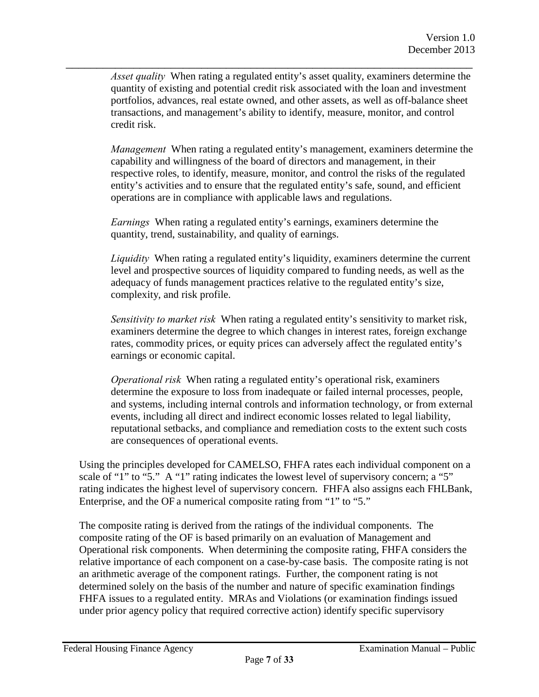\_\_\_\_\_\_\_\_\_\_\_\_\_\_\_\_\_\_\_\_\_\_\_\_\_\_\_\_\_\_\_\_\_\_\_\_\_\_\_\_\_\_\_\_\_\_\_\_\_\_\_\_\_\_\_\_\_\_\_\_\_\_\_\_\_\_ *Asset quality* When rating a regulated entity's asset quality, examiners determine the quantity of existing and potential credit risk associated with the loan and investment portfolios, advances, real estate owned, and other assets, as well as off-balance sheet transactions, and management's ability to identify, measure, monitor, and control credit risk.

> *Management* When rating a regulated entity's management, examiners determine the capability and willingness of the board of directors and management, in their respective roles, to identify, measure, monitor, and control the risks of the regulated entity's activities and to ensure that the regulated entity's safe, sound, and efficient operations are in compliance with applicable laws and regulations.

*Earnings* When rating a regulated entity's earnings, examiners determine the quantity, trend, sustainability, and quality of earnings.

*Liquidity* When rating a regulated entity's liquidity, examiners determine the current level and prospective sources of liquidity compared to funding needs, as well as the adequacy of funds management practices relative to the regulated entity's size, complexity, and risk profile.

*Sensitivity to market risk* When rating a regulated entity's sensitivity to market risk, examiners determine the degree to which changes in interest rates, foreign exchange rates, commodity prices, or equity prices can adversely affect the regulated entity's earnings or economic capital.

*Operational risk* When rating a regulated entity's operational risk, examiners determine the exposure to loss from inadequate or failed internal processes, people, and systems, including internal controls and information technology, or from external events, including all direct and indirect economic losses related to legal liability, reputational setbacks, and compliance and remediation costs to the extent such costs are consequences of operational events.

Using the principles developed for CAMELSO, FHFA rates each individual component on a scale of "1" to "5." A "1" rating indicates the lowest level of supervisory concern; a "5" rating indicates the highest level of supervisory concern. FHFA also assigns each FHLBank, Enterprise, and the OF a numerical composite rating from "1" to "5."

The composite rating is derived from the ratings of the individual components. The composite rating of the OF is based primarily on an evaluation of Management and Operational risk components. When determining the composite rating, FHFA considers the relative importance of each component on a case-by-case basis. The composite rating is not an arithmetic average of the component ratings. Further, the component rating is not determined solely on the basis of the number and nature of specific examination findings FHFA issues to a regulated entity. MRAs and Violations (or examination findings issued under prior agency policy that required corrective action) identify specific supervisory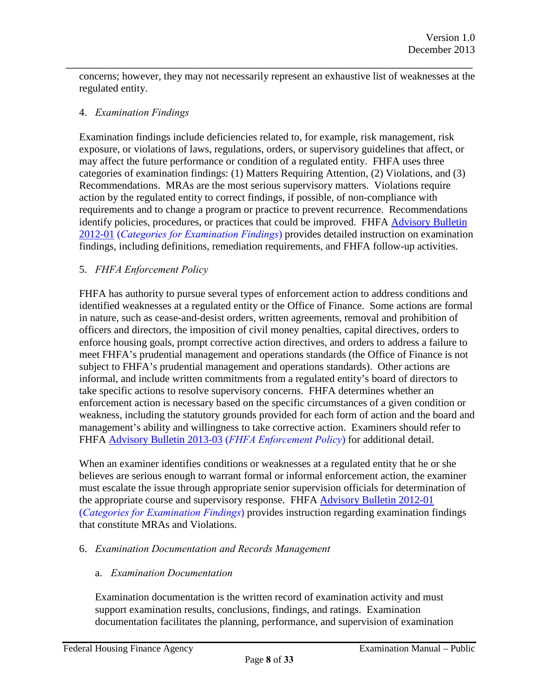concerns; however, they may not necessarily represent an exhaustive list of weaknesses at the regulated entity.

\_\_\_\_\_\_\_\_\_\_\_\_\_\_\_\_\_\_\_\_\_\_\_\_\_\_\_\_\_\_\_\_\_\_\_\_\_\_\_\_\_\_\_\_\_\_\_\_\_\_\_\_\_\_\_\_\_\_\_\_\_\_\_\_\_\_

#### <span id="page-7-0"></span>4. *Examination Findings*

Examination findings include deficiencies related to, for example, risk management, risk exposure, or violations of laws, regulations, orders, or supervisory guidelines that affect, or may affect the future performance or condition of a regulated entity. FHFA uses three categories of examination findings: (1) Matters Requiring Attention, (2) Violations, and (3) Recommendations. MRAs are the most serious supervisory matters. Violations require action by the regulated entity to correct findings, if possible, of non-compliance with requirements and to change a program or practice to prevent recurrence. Recommendations [identify policies, procedures, or practices that could be improved. FHFA Advisory Bulletin](http://www.fhfa.gov/SupervisionRegulation/AdvisoryBulletins/Pages/AB-2012-01-CATEGORIES-FOR-EXAMINATION-FINDINGS.aspx) 2012-01 (*Categories for Examination Findings*) provides detailed instruction on examination findings, including definitions, remediation requirements, and FHFA follow-up activities.

#### <span id="page-7-1"></span>5. *FHFA Enforcement Policy*

FHFA has authority to pursue several types of enforcement action to address conditions and identified weaknesses at a regulated entity or the Office of Finance. Some actions are formal in nature, such as cease-and-desist orders, written agreements, removal and prohibition of officers and directors, the imposition of civil money penalties, capital directives, orders to enforce housing goals, prompt corrective action directives, and orders to address a failure to meet FHFA's prudential management and operations standards (the Office of Finance is not subject to FHFA's prudential management and operations standards). Other actions are informal, and include written commitments from a regulated entity's board of directors to take specific actions to resolve supervisory concerns. FHFA determines whether an enforcement action is necessary based on the specific circumstances of a given condition or weakness, including the statutory grounds provided for each form of action and the board and management's ability and willingness to take corrective action. Examiners should refer to FHFA [Advisory Bulletin 2013-03 \(](http://www.fhfa.gov/webfiles/25275/AB_2013-03.pdf)*FHFA Enforcement Policy*) for additional detail.

When an examiner identifies conditions or weaknesses at a regulated entity that he or she believes are serious enough to warrant formal or informal enforcement action, the examiner must escalate the issue through appropriate senior supervision officials for determination of [the appropriate course and supervisory response. FHFA Advisory Bulletin 2012-01](http://www.fhfa.gov/SupervisionRegulation/AdvisoryBulletins/Pages/AB-2013-03-FHFA-ENFORCEMENT-POLICY.aspx) (*Categories for Examination Findings*) provides instruction regarding examination findings that constitute MRAs and Violations.

#### <span id="page-7-2"></span>6. *Examination Documentation and Records Management*

#### a. *Examination Documentation*

Examination documentation is the written record of examination activity and must support examination results, conclusions, findings, and ratings. Examination documentation facilitates the planning, performance, and supervision of examination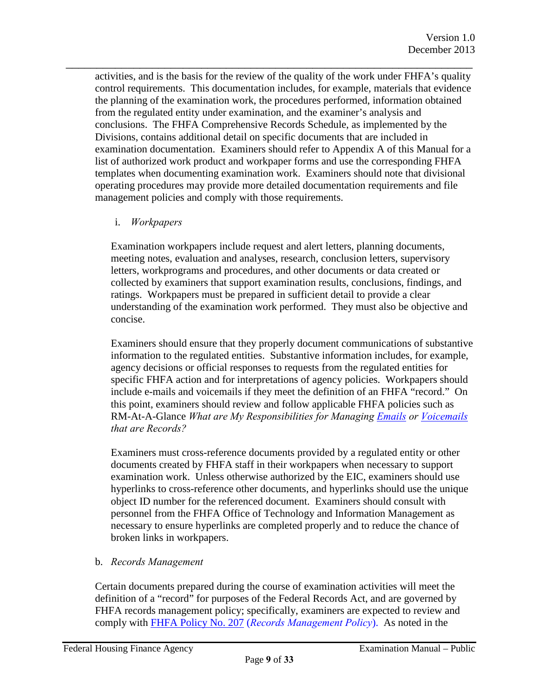activities, and is the basis for the review of the quality of the work under FHFA's quality control requirements. This documentation includes, for example, materials that evidence the planning of the examination work, the procedures performed, information obtained from the regulated entity under examination, and the examiner's analysis and conclusions. The FHFA Comprehensive Records Schedule, as implemented by the Divisions, contains additional detail on specific documents that are included in examination documentation. Examiners should refer to Appendix A of this Manual for a list of authorized work product and workpaper forms and use the corresponding FHFA templates when documenting examination work. Examiners should note that divisional operating procedures may provide more detailed documentation requirements and file management policies and comply with those requirements.

\_\_\_\_\_\_\_\_\_\_\_\_\_\_\_\_\_\_\_\_\_\_\_\_\_\_\_\_\_\_\_\_\_\_\_\_\_\_\_\_\_\_\_\_\_\_\_\_\_\_\_\_\_\_\_\_\_\_\_\_\_\_\_\_\_\_

#### i. *Workpapers*

Examination workpapers include request and alert letters, planning documents, meeting notes, evaluation and analyses, research, conclusion letters, supervisory letters, workprograms and procedures, and other documents or data created or collected by examiners that support examination results, conclusions, findings, and ratings. Workpapers must be prepared in sufficient detail to provide a clear understanding of the examination work performed. They must also be objective and concise.

Examiners should ensure that they properly document communications of substantive information to the regulated entities. Substantive information includes, for example, agency decisions or official responses to requests from the regulated entities for specific FHFA action and for interpretations of agency policies. Workpapers should include e-mails and voicemails if they meet the definition of an FHFA "record." On this point, examiners should review and follow applicable FHFA policies such as RM-At-A-Glance *What are My Responsibilities for Mana[ging Emails or](http://www.fhfa.gov/AboutUs/Policies/Documents/Records-and-Information-Management/RIM_AAG_EmailRecords_508.pdf) [Voicemails](http://www.fhfa.gov/AboutUs/Policies/Documents/Records-and-Information-Management/RIM_AAG_VoicemailRecords_508.pdf) that are Records?*

Examiners must cross-reference documents provided by a regulated entity or other documents created by FHFA staff in their workpapers when necessary to support examination work. Unless otherwise authorized by the EIC, examiners should use hyperlinks to cross-reference other documents, and hyperlinks should use the unique object ID number for the referenced document. Examiners should consult with personnel from the FHFA Office of Technology and Information Management as necessary to ensure hyperlinks are completed properly and to reduce the chance of broken links in workpapers.

#### b. *Records Management*

Certain documents prepared during the course of examination activities will meet the definition of a "record" for purposes of the Federal Records Act, and are governed by FHFA rec[ords management policy; specifically, examiners are expect](http://www.fhfa.gov/AboutUs/Policies/Documents/Records-and-Information-Management/RIM_Policy207_RecordsManagement_508.pdf)ed to review and comply with FHFA Policy No. 207 (*Records Management Policy*). As noted in the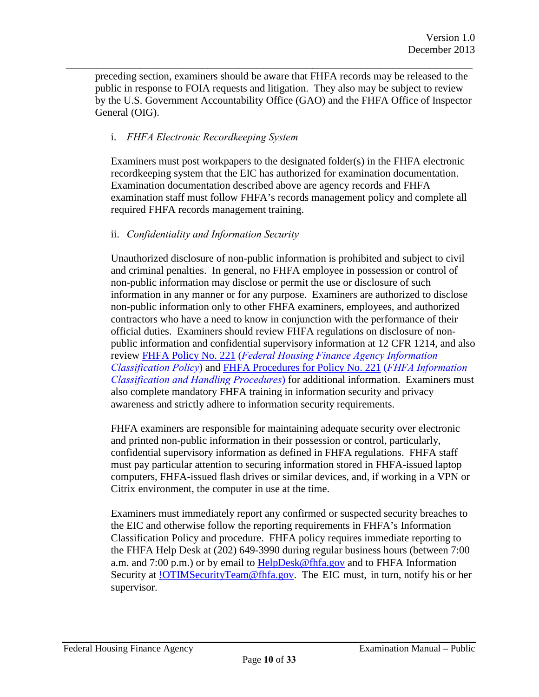preceding section, examiners should be aware that FHFA records may be released to the public in response to FOIA requests and litigation. They also may be subject to review by the U.S. Government Accountability Office (GAO) and the FHFA Office of Inspector General (OIG).

\_\_\_\_\_\_\_\_\_\_\_\_\_\_\_\_\_\_\_\_\_\_\_\_\_\_\_\_\_\_\_\_\_\_\_\_\_\_\_\_\_\_\_\_\_\_\_\_\_\_\_\_\_\_\_\_\_\_\_\_\_\_\_\_\_\_

#### i. *FHFA Electronic Recordkeeping System*

Examiners must post workpapers to the designated folder(s) in the FHFA electronic recordkeeping system that the EIC has authorized for examination documentation. Examination documentation described above are agency records and FHFA examination staff must follow FHFA's records management policy and complete all required FHFA records management training.

#### ii. *Confidentiality and Information Security*

Unauthorized disclosure of non-public information is prohibited and subject to civil and criminal penalties. In general, no FHFA employee in possession or control of non-public information may disclose or permit the use or disclosure of such information in any manner or for any purpose. Examiners are authorized to disclose non-public information only to other FHFA examiners, employees, and authorized contractors who have a need to know in conjunction with the performance of their official duties. Examiners should review FHFA regulations on disclosure of nonpublic information and confidential supervisory information at 12 CFR 1214, and also review FHFA Policy No. 221 (*Federal Housing Finance Agency Information Classification Policy*) and FHFA Procedures for Policy No. 221 (*FHFA Information Classification and Handling Procedures*) for additional information. Examiners must also complete mandatory FHFA training in information security and privacy awareness and strictly adhere to information security requirements.

FHFA examiners are responsible for maintaining adequate security over electronic and printed non-public information in their possession or control, particularly, confidential supervisory information as defined in FHFA regulations. FHFA staff must pay particular attention to securing information stored in FHFA-issued laptop computers, FHFA-issued flash drives or similar devices, and, if working in a VPN or Citrix environment, the computer in use at the time.

Examiners must immediately report any confirmed or suspected security breaches to the EIC and otherwise follow the reporting requirements in FHFA's Information Classification Policy and procedure. FHFA policy requires immediate reporting to the FHFA Help Desk at (202) 649-3990 during regular business hours (between 7:00 a.m. and 7:00 p.m.) or by email to HelpDesk@fhfa.gov and to FHFA Information Security at !OTIMSecurityTeam@fhfa.gov. The EIC must, in turn, notify his or her supervisor.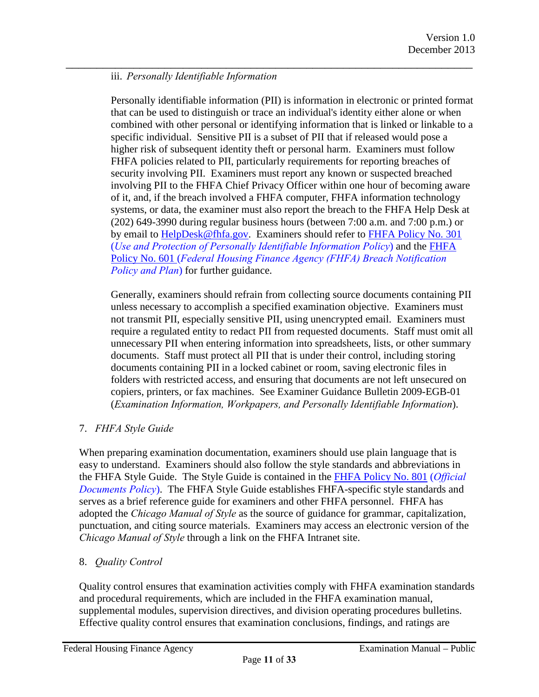#### \_\_\_\_\_\_\_\_\_\_\_\_\_\_\_\_\_\_\_\_\_\_\_\_\_\_\_\_\_\_\_\_\_\_\_\_\_\_\_\_\_\_\_\_\_\_\_\_\_\_\_\_\_\_\_\_\_\_\_\_\_\_\_\_\_\_ iii. *Personally Identifiable Information*

Personally identifiable information (PII) is information in electronic or printed format that can be used to distinguish or trace an individual's identity either alone or when combined with other personal or identifying information that is linked or linkable to a specific individual. Sensitive PII is a subset of PII that if released would pose a higher risk of subsequent identity theft or personal harm. Examiners must follow FHFA policies related to PII, particularly requirements for reporting breaches of security involving PII. Examiners must report any known or suspected breached involving PII to the FHFA Chief Privacy Officer within one hour of becoming aware of it, and, if the breach involved a FHFA computer, FHFA information technology systems, or data, the examiner must also report the breach to the FHFA Help Desk at (202) 649-3990 during regular business hours (between 7:00 a.m. and 7:00 p.m.) or by email to HelpDesk@fhfa.gov. Examiners should refer to FHFA Policy No. 301 (*Use and Protection of Personally Identifiable Information Policy*) and the FHFA Policy No. 601 (*Federal Housing Finance Agency (FHFA) Breach Notification Policy and Plan*) for further guidance.

Generally, examiners should refrain from collecting source documents containing PII unless necessary to accomplish a specified examination objective. Examiners must not transmit PII, especially sensitive PII, using unencrypted email. Examiners must require a regulated entity to redact PII from requested documents. Staff must omit all unnecessary PII when entering information into spreadsheets, lists, or other summary documents. Staff must protect all PII that is under their control, including storing documents containing PII in a locked cabinet or room, saving electronic files in folders with restricted access, and ensuring that documents are not left unsecured on copiers, printers, or fax machines. See Examiner Guidance Bulletin 2009-EGB-01 (*Examination Information, Workpapers, and Personally Identifiable Information*).

#### <span id="page-10-0"></span>7. *FHFA Style Guide*

When preparing examination documentation, examiners should use plain language that is easy to understand. Examiners should also follow the style standards and abbreviations in the FHFA Style Guide. The Style Guide is contained in the FHFA Policy No. 801 (*Official Documents Policy*). The FHFA Style Guide establishes FHFA-specific style standards and serves as a brief reference guide for examiners and other FHFA personnel. FHFA has adopted the *Chicago Manual of Style* as the source of guidance for grammar, capitalization, punctuation, and citing source materials. Examiners may access an electronic version of the *Chicago Manual of Style* through a link on the FHFA Intranet site.

#### <span id="page-10-1"></span>8. *Quality Control*

Quality control ensures that examination activities comply with FHFA examination standards and procedural requirements, which are included in the FHFA examination manual, supplemental modules, supervision directives, and division operating procedures bulletins. Effective quality control ensures that examination conclusions, findings, and ratings are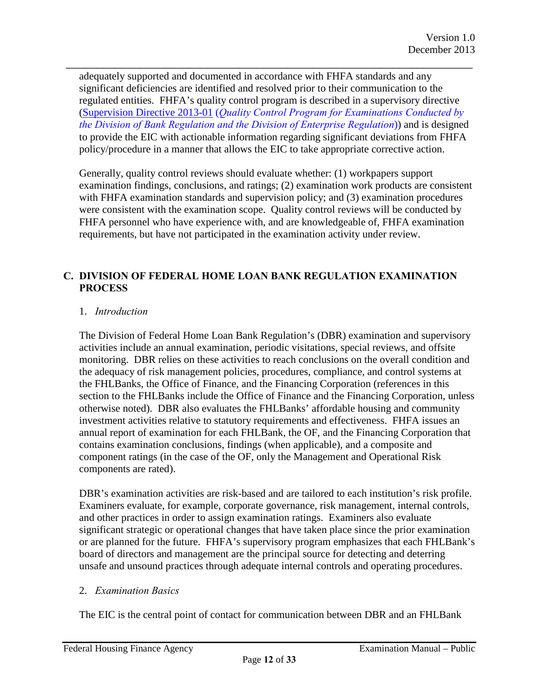adequately supported and documented in accordance with FHFA standards and any significant deficiencies are identified and resolved prior to their communication to the regulated entities. FHFA's quality control program is described in a supervisory directive (Supervision Directive 2013-01 (*Quality Control Program for Examinations Conducted by the Division of Bank Regulation and the Division of Enterprise Regulation*)) and is designed to provide the EIC with actionable information regarding significant deviations from FHFA policy/procedure in a manner that allows the EIC to take appropriate corrective action.

\_\_\_\_\_\_\_\_\_\_\_\_\_\_\_\_\_\_\_\_\_\_\_\_\_\_\_\_\_\_\_\_\_\_\_\_\_\_\_\_\_\_\_\_\_\_\_\_\_\_\_\_\_\_\_\_\_\_\_\_\_\_\_\_\_\_

Generally, quality control reviews should evaluate whether: (1) workpapers support examination findings, conclusions, and ratings; (2) examination work products are consistent with FHFA examination standards and supervision policy; and (3) examination procedures were consistent with the examination scope. Quality control reviews will be conducted by FHFA personnel who have experience with, and are knowledgeable of, FHFA examination requirements, but have not participated in the examination activity under review.

#### <span id="page-11-0"></span>**C. DIVISION OF FEDERAL HOME LOAN BANK REGULATION EXAMINATION PROCESS**

#### <span id="page-11-1"></span>1. *Introduction*

The Division of Federal Home Loan Bank Regulation's (DBR) examination and supervisory activities include an annual examination, periodic visitations, special reviews, and offsite monitoring. DBR relies on these activities to reach conclusions on the overall condition and the adequacy of risk management policies, procedures, compliance, and control systems at the FHLBanks, the Office of Finance, and the Financing Corporation (references in this section to the FHLBanks include the Office of Finance and the Financing Corporation, unless otherwise noted). DBR also evaluates the FHLBanks' affordable housing and community investment activities relative to statutory requirements and effectiveness. FHFA issues an annual report of examination for each FHLBank, the OF, and the Financing Corporation that contains examination conclusions, findings (when applicable), and a composite and component ratings (in the case of the OF, only the Management and Operational Risk components are rated).

DBR's examination activities are risk-based and are tailored to each institution's risk profile. Examiners evaluate, for example, corporate governance, risk management, internal controls, and other practices in order to assign examination ratings. Examiners also evaluate significant strategic or operational changes that have taken place since the prior examination or are planned for the future. FHFA's supervisory program emphasizes that each FHLBank's board of directors and management are the principal source for detecting and deterring unsafe and unsound practices through adequate internal controls and operating procedures.

#### <span id="page-11-2"></span>2. *Examination Basics*

The EIC is the central point of contact for communication between DBR and an FHLBank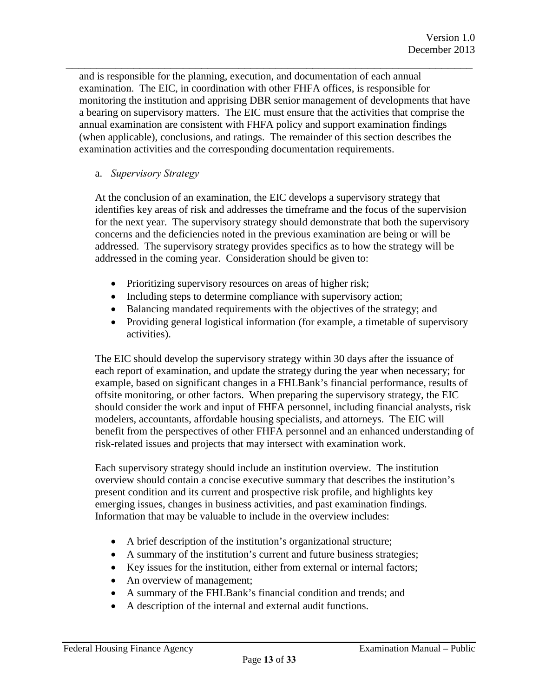\_\_\_\_\_\_\_\_\_\_\_\_\_\_\_\_\_\_\_\_\_\_\_\_\_\_\_\_\_\_\_\_\_\_\_\_\_\_\_\_\_\_\_\_\_\_\_\_\_\_\_\_\_\_\_\_\_\_\_\_\_\_\_\_\_\_ and is responsible for the planning, execution, and documentation of each annual examination. The EIC, in coordination with other FHFA offices, is responsible for monitoring the institution and apprising DBR senior management of developments that have a bearing on supervisory matters. The EIC must ensure that the activities that comprise the annual examination are consistent with FHFA policy and support examination findings (when applicable), conclusions, and ratings. The remainder of this section describes the examination activities and the corresponding documentation requirements.

#### a. *Supervisory Strategy*

At the conclusion of an examination, the EIC develops a supervisory strategy that identifies key areas of risk and addresses the timeframe and the focus of the supervision for the next year. The supervisory strategy should demonstrate that both the supervisory concerns and the deficiencies noted in the previous examination are being or will be addressed. The supervisory strategy provides specifics as to how the strategy will be addressed in the coming year. Consideration should be given to:

- Prioritizing supervisory resources on areas of higher risk;
- Including steps to determine compliance with supervisory action;
- Balancing mandated requirements with the objectives of the strategy; and
- Providing general logistical information (for example, a timetable of supervisory activities).

The EIC should develop the supervisory strategy within 30 days after the issuance of each report of examination, and update the strategy during the year when necessary; for example, based on significant changes in a FHLBank's financial performance, results of offsite monitoring, or other factors. When preparing the supervisory strategy, the EIC should consider the work and input of FHFA personnel, including financial analysts, risk modelers, accountants, affordable housing specialists, and attorneys. The EIC will benefit from the perspectives of other FHFA personnel and an enhanced understanding of risk-related issues and projects that may intersect with examination work.

Each supervisory strategy should include an institution overview. The institution overview should contain a concise executive summary that describes the institution's present condition and its current and prospective risk profile, and highlights key emerging issues, changes in business activities, and past examination findings. Information that may be valuable to include in the overview includes:

- A brief description of the institution's organizational structure;
- A summary of the institution's current and future business strategies;
- Key issues for the institution, either from external or internal factors;
- An overview of management;
- A summary of the FHLBank's financial condition and trends; and
- A description of the internal and external audit functions.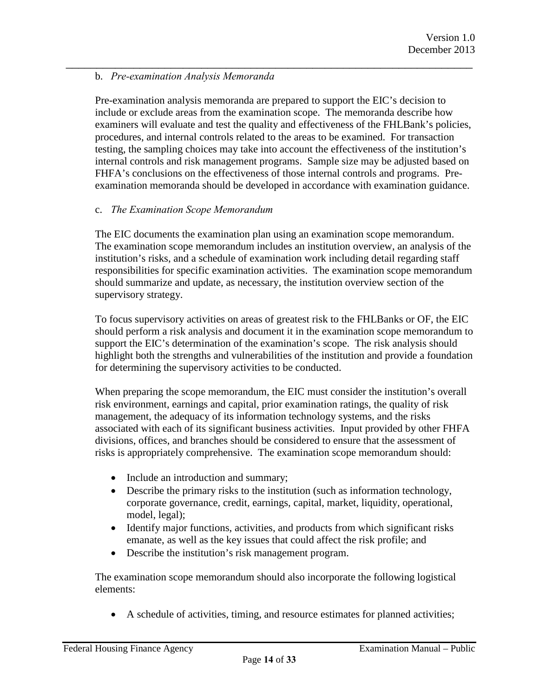#### \_\_\_\_\_\_\_\_\_\_\_\_\_\_\_\_\_\_\_\_\_\_\_\_\_\_\_\_\_\_\_\_\_\_\_\_\_\_\_\_\_\_\_\_\_\_\_\_\_\_\_\_\_\_\_\_\_\_\_\_\_\_\_\_\_\_ b. *Pre-examination Analysis Memoranda*

Pre-examination analysis memoranda are prepared to support the EIC's decision to include or exclude areas from the examination scope. The memoranda describe how examiners will evaluate and test the quality and effectiveness of the FHLBank's policies, procedures, and internal controls related to the areas to be examined. For transaction testing, the sampling choices may take into account the effectiveness of the institution's internal controls and risk management programs. Sample size may be adjusted based on FHFA's conclusions on the effectiveness of those internal controls and programs. Preexamination memoranda should be developed in accordance with examination guidance.

#### c. *The Examination Scope Memorandum*

The EIC documents the examination plan using an examination scope memorandum. The examination scope memorandum includes an institution overview, an analysis of the institution's risks, and a schedule of examination work including detail regarding staff responsibilities for specific examination activities. The examination scope memorandum should summarize and update, as necessary, the institution overview section of the supervisory strategy.

To focus supervisory activities on areas of greatest risk to the FHLBanks or OF, the EIC should perform a risk analysis and document it in the examination scope memorandum to support the EIC's determination of the examination's scope. The risk analysis should highlight both the strengths and vulnerabilities of the institution and provide a foundation for determining the supervisory activities to be conducted.

When preparing the scope memorandum, the EIC must consider the institution's overall risk environment, earnings and capital, prior examination ratings, the quality of risk management, the adequacy of its information technology systems, and the risks associated with each of its significant business activities. Input provided by other FHFA divisions, offices, and branches should be considered to ensure that the assessment of risks is appropriately comprehensive. The examination scope memorandum should:

- Include an introduction and summary;
- Describe the primary risks to the institution (such as information technology, corporate governance, credit, earnings, capital, market, liquidity, operational, model, legal);
- Identify major functions, activities, and products from which significant risks emanate, as well as the key issues that could affect the risk profile; and
- Describe the institution's risk management program.

The examination scope memorandum should also incorporate the following logistical elements:

• A schedule of activities, timing, and resource estimates for planned activities;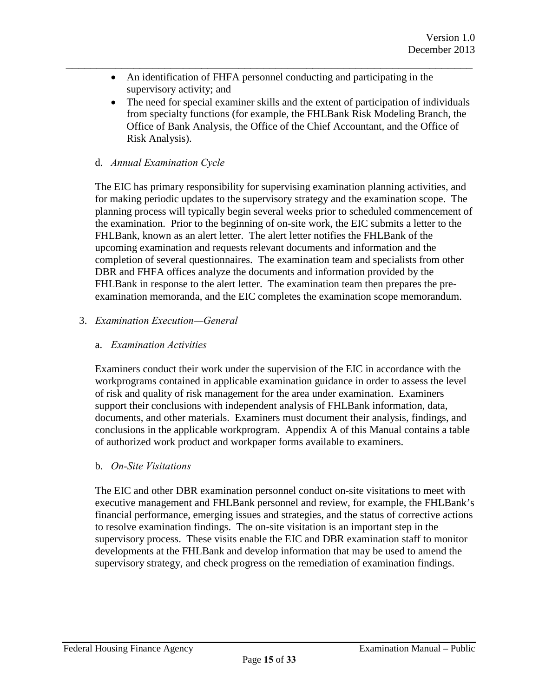• An identification of FHFA personnel conducting and participating in the supervisory activity; and

\_\_\_\_\_\_\_\_\_\_\_\_\_\_\_\_\_\_\_\_\_\_\_\_\_\_\_\_\_\_\_\_\_\_\_\_\_\_\_\_\_\_\_\_\_\_\_\_\_\_\_\_\_\_\_\_\_\_\_\_\_\_\_\_\_\_

• The need for special examiner skills and the extent of participation of individuals from specialty functions (for example, the FHLBank Risk Modeling Branch, the Office of Bank Analysis, the Office of the Chief Accountant, and the Office of Risk Analysis).

#### d. *Annual Examination Cycle*

The EIC has primary responsibility for supervising examination planning activities, and for making periodic updates to the supervisory strategy and the examination scope. The planning process will typically begin several weeks prior to scheduled commencement of the examination. Prior to the beginning of on-site work, the EIC submits a letter to the FHLBank, known as an alert letter. The alert letter notifies the FHLBank of the upcoming examination and requests relevant documents and information and the completion of several questionnaires. The examination team and specialists from other DBR and FHFA offices analyze the documents and information provided by the FHLBank in response to the alert letter. The examination team then prepares the preexamination memoranda, and the EIC completes the examination scope memorandum.

#### <span id="page-14-0"></span>3. *Examination Execution—General*

#### a. *Examination Activities*

Examiners conduct their work under the supervision of the EIC in accordance with the workprograms contained in applicable examination guidance in order to assess the level of risk and quality of risk management for the area under examination. Examiners support their conclusions with independent analysis of FHLBank information, data, documents, and other materials. Examiners must document their analysis, findings, and conclusions in the applicable workprogram. Appendix A of this Manual contains a table of authorized work product and workpaper forms available to examiners.

#### b. *On-Site Visitations*

The EIC and other DBR examination personnel conduct on-site visitations to meet with executive management and FHLBank personnel and review, for example, the FHLBank's financial performance, emerging issues and strategies, and the status of corrective actions to resolve examination findings. The on-site visitation is an important step in the supervisory process. These visits enable the EIC and DBR examination staff to monitor developments at the FHLBank and develop information that may be used to amend the supervisory strategy, and check progress on the remediation of examination findings.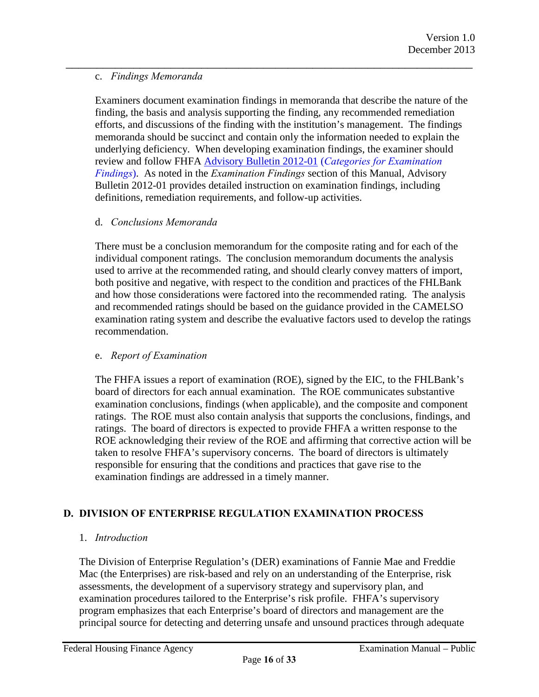#### c. *Findings Memoranda*

Examiners document examination findings in memoranda that describe the nature of the finding, the basis and analysis supporting the finding, any recommended remediation efforts, and discussions of the finding with the institution's management. The findings memoranda should be succinct and contain only the information needed to explain the underlying deficiency. When developing examination findings, the examiner should review and follow FHFA Advisory Bulletin 2012-01 (*Categories for Examination Findings*). As noted in the *Examination Findings* section of this Manual, Advisory [Bulletin 2012-01 provides detailed instruction on examination findings, including](http://www.fhfa.gov/SupervisionRegulation/AdvisoryBulletins/Pages/AB-2012-01-CATEGORIES-FOR-EXAMINATION-FINDINGS.aspx)  definitions, remediation requirements, and follow-up activities.

\_\_\_\_\_\_\_\_\_\_\_\_\_\_\_\_\_\_\_\_\_\_\_\_\_\_\_\_\_\_\_\_\_\_\_\_\_\_\_\_\_\_\_\_\_\_\_\_\_\_\_\_\_\_\_\_\_\_\_\_\_\_\_\_\_\_

#### d. *Conclusions Memoranda*

There must be a conclusion memorandum for the composite rating and for each of the individual component ratings. The conclusion memorandum documents the analysis used to arrive at the recommended rating, and should clearly convey matters of import, both positive and negative, with respect to the condition and practices of the FHLBank and how those considerations were factored into the recommended rating. The analysis and recommended ratings should be based on the guidance provided in the CAMELSO examination rating system and describe the evaluative factors used to develop the ratings recommendation.

#### e. *Report of Examination*

The FHFA issues a report of examination (ROE), signed by the EIC, to the FHLBank's board of directors for each annual examination. The ROE communicates substantive examination conclusions, findings (when applicable), and the composite and component ratings. The ROE must also contain analysis that supports the conclusions, findings, and ratings. The board of directors is expected to provide FHFA a written response to the ROE acknowledging their review of the ROE and affirming that corrective action will be taken to resolve FHFA's supervisory concerns. The board of directors is ultimately responsible for ensuring that the conditions and practices that gave rise to the examination findings are addressed in a timely manner.

#### <span id="page-15-0"></span>**D. DIVISION OF ENTERPRISE REGULATION EXAMINATION PROCESS**

#### <span id="page-15-1"></span>1. *Introduction*

The Division of Enterprise Regulation's (DER) examinations of Fannie Mae and Freddie Mac (the Enterprises) are risk-based and rely on an understanding of the Enterprise, risk assessments, the development of a supervisory strategy and supervisory plan, and examination procedures tailored to the Enterprise's risk profile. FHFA's supervisory program emphasizes that each Enterprise's board of directors and management are the principal source for detecting and deterring unsafe and unsound practices through adequate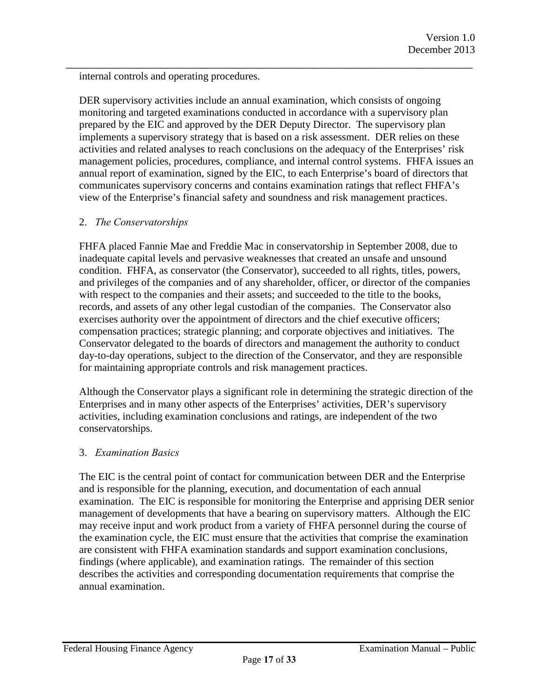internal controls and operating procedures.

DER supervisory activities include an annual examination, which consists of ongoing monitoring and targeted examinations conducted in accordance with a supervisory plan prepared by the EIC and approved by the DER Deputy Director. The supervisory plan implements a supervisory strategy that is based on a risk assessment. DER relies on these activities and related analyses to reach conclusions on the adequacy of the Enterprises' risk management policies, procedures, compliance, and internal control systems. FHFA issues an annual report of examination, signed by the EIC, to each Enterprise's board of directors that communicates supervisory concerns and contains examination ratings that reflect FHFA's view of the Enterprise's financial safety and soundness and risk management practices.

\_\_\_\_\_\_\_\_\_\_\_\_\_\_\_\_\_\_\_\_\_\_\_\_\_\_\_\_\_\_\_\_\_\_\_\_\_\_\_\_\_\_\_\_\_\_\_\_\_\_\_\_\_\_\_\_\_\_\_\_\_\_\_\_\_\_

#### <span id="page-16-0"></span>2. *The Conservatorships*

FHFA placed Fannie Mae and Freddie Mac in conservatorship in September 2008, due to inadequate capital levels and pervasive weaknesses that created an unsafe and unsound condition. FHFA, as conservator (the Conservator), succeeded to all rights, titles, powers, and privileges of the companies and of any shareholder, officer, or director of the companies with respect to the companies and their assets; and succeeded to the title to the books, records, and assets of any other legal custodian of the companies. The Conservator also exercises authority over the appointment of directors and the chief executive officers; compensation practices; strategic planning; and corporate objectives and initiatives. The Conservator delegated to the boards of directors and management the authority to conduct day-to-day operations, subject to the direction of the Conservator, and they are responsible for maintaining appropriate controls and risk management practices.

Although the Conservator plays a significant role in determining the strategic direction of the Enterprises and in many other aspects of the Enterprises' activities, DER's supervisory activities, including examination conclusions and ratings, are independent of the two conservatorships.

#### <span id="page-16-1"></span>3. *Examination Basics*

The EIC is the central point of contact for communication between DER and the Enterprise and is responsible for the planning, execution, and documentation of each annual examination. The EIC is responsible for monitoring the Enterprise and apprising DER senior management of developments that have a bearing on supervisory matters. Although the EIC may receive input and work product from a variety of FHFA personnel during the course of the examination cycle, the EIC must ensure that the activities that comprise the examination are consistent with FHFA examination standards and support examination conclusions, findings (where applicable), and examination ratings. The remainder of this section describes the activities and corresponding documentation requirements that comprise the annual examination.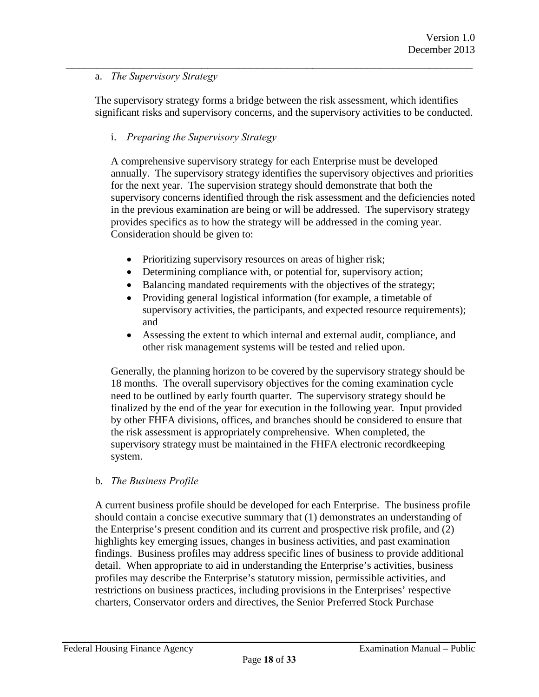#### a. *The Supervisory Strategy*

The supervisory strategy forms a bridge between the risk assessment, which identifies significant risks and supervisory concerns, and the supervisory activities to be conducted.

\_\_\_\_\_\_\_\_\_\_\_\_\_\_\_\_\_\_\_\_\_\_\_\_\_\_\_\_\_\_\_\_\_\_\_\_\_\_\_\_\_\_\_\_\_\_\_\_\_\_\_\_\_\_\_\_\_\_\_\_\_\_\_\_\_\_

#### i. *Preparing the Supervisory Strategy*

A comprehensive supervisory strategy for each Enterprise must be developed annually. The supervisory strategy identifies the supervisory objectives and priorities for the next year. The supervision strategy should demonstrate that both the supervisory concerns identified through the risk assessment and the deficiencies noted in the previous examination are being or will be addressed. The supervisory strategy provides specifics as to how the strategy will be addressed in the coming year. Consideration should be given to:

- Prioritizing supervisory resources on areas of higher risk;
- Determining compliance with, or potential for, supervisory action;
- Balancing mandated requirements with the objectives of the strategy;
- Providing general logistical information (for example, a timetable of supervisory activities, the participants, and expected resource requirements); and
- Assessing the extent to which internal and external audit, compliance, and other risk management systems will be tested and relied upon.

Generally, the planning horizon to be covered by the supervisory strategy should be 18 months. The overall supervisory objectives for the coming examination cycle need to be outlined by early fourth quarter. The supervisory strategy should be finalized by the end of the year for execution in the following year. Input provided by other FHFA divisions, offices, and branches should be considered to ensure that the risk assessment is appropriately comprehensive. When completed, the supervisory strategy must be maintained in the FHFA electronic recordkeeping system.

#### b. *The Business Profile*

A current business profile should be developed for each Enterprise. The business profile should contain a concise executive summary that (1) demonstrates an understanding of the Enterprise's present condition and its current and prospective risk profile, and (2) highlights key emerging issues, changes in business activities, and past examination findings. Business profiles may address specific lines of business to provide additional detail. When appropriate to aid in understanding the Enterprise's activities, business profiles may describe the Enterprise's statutory mission, permissible activities, and restrictions on business practices, including provisions in the Enterprises' respective charters, Conservator orders and directives, the Senior Preferred Stock Purchase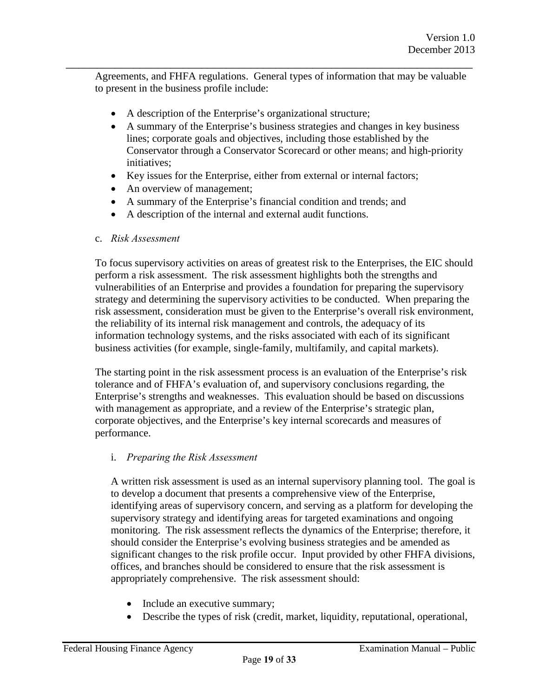Agreements, and FHFA regulations. General types of information that may be valuable to present in the business profile include:

\_\_\_\_\_\_\_\_\_\_\_\_\_\_\_\_\_\_\_\_\_\_\_\_\_\_\_\_\_\_\_\_\_\_\_\_\_\_\_\_\_\_\_\_\_\_\_\_\_\_\_\_\_\_\_\_\_\_\_\_\_\_\_\_\_\_

- A description of the Enterprise's organizational structure;
- A summary of the Enterprise's business strategies and changes in key business lines; corporate goals and objectives, including those established by the Conservator through a Conservator Scorecard or other means; and high-priority initiatives;
- Key issues for the Enterprise, either from external or internal factors;
- An overview of management;
- A summary of the Enterprise's financial condition and trends; and
- A description of the internal and external audit functions.

#### c. *Risk Assessment*

To focus supervisory activities on areas of greatest risk to the Enterprises, the EIC should perform a risk assessment. The risk assessment highlights both the strengths and vulnerabilities of an Enterprise and provides a foundation for preparing the supervisory strategy and determining the supervisory activities to be conducted. When preparing the risk assessment, consideration must be given to the Enterprise's overall risk environment, the reliability of its internal risk management and controls, the adequacy of its information technology systems, and the risks associated with each of its significant business activities (for example, single-family, multifamily, and capital markets).

The starting point in the risk assessment process is an evaluation of the Enterprise's risk tolerance and of FHFA's evaluation of, and supervisory conclusions regarding, the Enterprise's strengths and weaknesses. This evaluation should be based on discussions with management as appropriate, and a review of the Enterprise's strategic plan, corporate objectives, and the Enterprise's key internal scorecards and measures of performance.

#### i. *Preparing the Risk Assessment*

A written risk assessment is used as an internal supervisory planning tool. The goal is to develop a document that presents a comprehensive view of the Enterprise, identifying areas of supervisory concern, and serving as a platform for developing the supervisory strategy and identifying areas for targeted examinations and ongoing monitoring. The risk assessment reflects the dynamics of the Enterprise; therefore, it should consider the Enterprise's evolving business strategies and be amended as significant changes to the risk profile occur. Input provided by other FHFA divisions, offices, and branches should be considered to ensure that the risk assessment is appropriately comprehensive. The risk assessment should:

- Include an executive summary;
- Describe the types of risk (credit, market, liquidity, reputational, operational,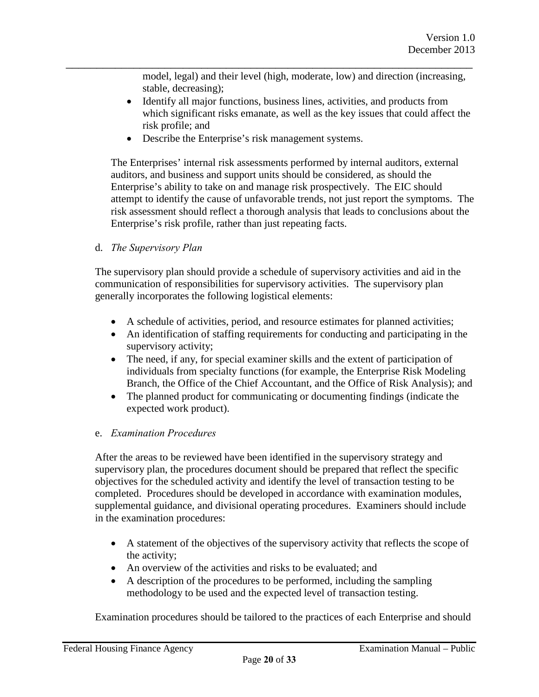model, legal) and their level (high, moderate, low) and direction (increasing, stable, decreasing);

- Identify all major functions, business lines, activities, and products from which significant risks emanate, as well as the key issues that could affect the risk profile; and
- Describe the Enterprise's risk management systems.

\_\_\_\_\_\_\_\_\_\_\_\_\_\_\_\_\_\_\_\_\_\_\_\_\_\_\_\_\_\_\_\_\_\_\_\_\_\_\_\_\_\_\_\_\_\_\_\_\_\_\_\_\_\_\_\_\_\_\_\_\_\_\_\_\_\_

The Enterprises' internal risk assessments performed by internal auditors, external auditors, and business and support units should be considered, as should the Enterprise's ability to take on and manage risk prospectively. The EIC should attempt to identify the cause of unfavorable trends, not just report the symptoms. The risk assessment should reflect a thorough analysis that leads to conclusions about the Enterprise's risk profile, rather than just repeating facts.

d. *The Supervisory Plan*

The supervisory plan should provide a schedule of supervisory activities and aid in the communication of responsibilities for supervisory activities. The supervisory plan generally incorporates the following logistical elements:

- A schedule of activities, period, and resource estimates for planned activities;
- An identification of staffing requirements for conducting and participating in the supervisory activity;
- The need, if any, for special examiner skills and the extent of participation of individuals from specialty functions (for example, the Enterprise Risk Modeling Branch, the Office of the Chief Accountant, and the Office of Risk Analysis); and
- The planned product for communicating or documenting findings (indicate the expected work product).

#### e. *Examination Procedures*

After the areas to be reviewed have been identified in the supervisory strategy and supervisory plan, the procedures document should be prepared that reflect the specific objectives for the scheduled activity and identify the level of transaction testing to be completed. Procedures should be developed in accordance with examination modules, supplemental guidance, and divisional operating procedures. Examiners should include in the examination procedures:

- A statement of the objectives of the supervisory activity that reflects the scope of the activity;
- An overview of the activities and risks to be evaluated; and
- A description of the procedures to be performed, including the sampling methodology to be used and the expected level of transaction testing.

Examination procedures should be tailored to the practices of each Enterprise and should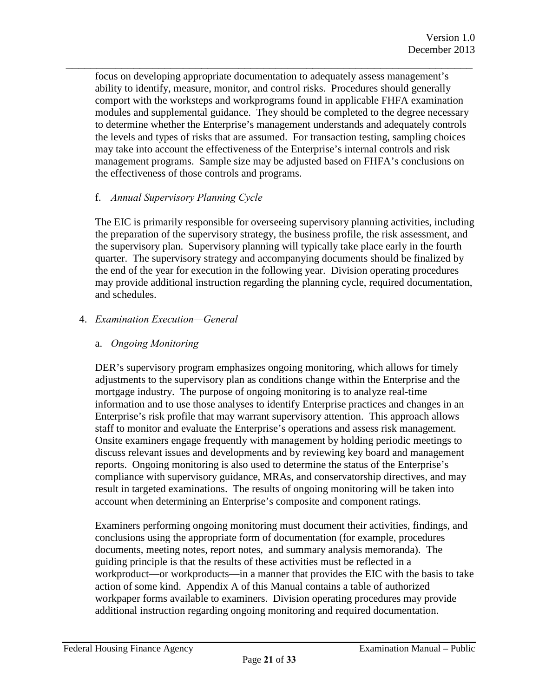\_\_\_\_\_\_\_\_\_\_\_\_\_\_\_\_\_\_\_\_\_\_\_\_\_\_\_\_\_\_\_\_\_\_\_\_\_\_\_\_\_\_\_\_\_\_\_\_\_\_\_\_\_\_\_\_\_\_\_\_\_\_\_\_\_\_ focus on developing appropriate documentation to adequately assess management's ability to identify, measure, monitor, and control risks. Procedures should generally comport with the worksteps and workprograms found in applicable FHFA examination modules and supplemental guidance. They should be completed to the degree necessary to determine whether the Enterprise's management understands and adequately controls the levels and types of risks that are assumed. For transaction testing, sampling choices may take into account the effectiveness of the Enterprise's internal controls and risk management programs. Sample size may be adjusted based on FHFA's conclusions on the effectiveness of those controls and programs.

#### f. *Annual Supervisory Planning Cycle*

The EIC is primarily responsible for overseeing supervisory planning activities, including the preparation of the supervisory strategy, the business profile, the risk assessment, and the supervisory plan. Supervisory planning will typically take place early in the fourth quarter. The supervisory strategy and accompanying documents should be finalized by the end of the year for execution in the following year. Division operating procedures may provide additional instruction regarding the planning cycle, required documentation, and schedules.

#### <span id="page-20-0"></span>4. *Examination Execution—General*

#### a. *Ongoing Monitoring*

DER's supervisory program emphasizes ongoing monitoring, which allows for timely adjustments to the supervisory plan as conditions change within the Enterprise and the mortgage industry. The purpose of ongoing monitoring is to analyze real-time information and to use those analyses to identify Enterprise practices and changes in an Enterprise's risk profile that may warrant supervisory attention. This approach allows staff to monitor and evaluate the Enterprise's operations and assess risk management. Onsite examiners engage frequently with management by holding periodic meetings to discuss relevant issues and developments and by reviewing key board and management reports. Ongoing monitoring is also used to determine the status of the Enterprise's compliance with supervisory guidance, MRAs, and conservatorship directives, and may result in targeted examinations. The results of ongoing monitoring will be taken into account when determining an Enterprise's composite and component ratings.

Examiners performing ongoing monitoring must document their activities, findings, and conclusions using the appropriate form of documentation (for example, procedures documents, meeting notes, report notes, and summary analysis memoranda). The guiding principle is that the results of these activities must be reflected in a workproduct—or workproducts—in a manner that provides the EIC with the basis to take action of some kind. Appendix A of this Manual contains a table of authorized workpaper forms available to examiners. Division operating procedures may provide additional instruction regarding ongoing monitoring and required documentation.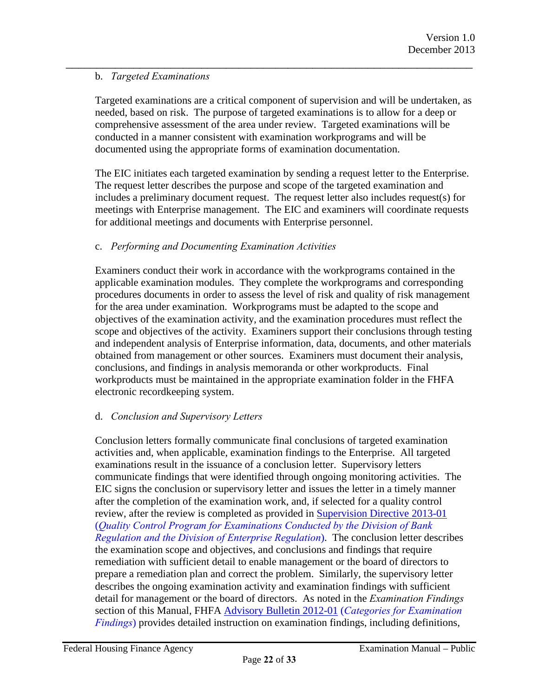#### b. *Targeted Examinations*

Targeted examinations are a critical component of supervision and will be undertaken, as needed, based on risk. The purpose of targeted examinations is to allow for a deep or comprehensive assessment of the area under review. Targeted examinations will be conducted in a manner consistent with examination workprograms and will be documented using the appropriate forms of examination documentation.

\_\_\_\_\_\_\_\_\_\_\_\_\_\_\_\_\_\_\_\_\_\_\_\_\_\_\_\_\_\_\_\_\_\_\_\_\_\_\_\_\_\_\_\_\_\_\_\_\_\_\_\_\_\_\_\_\_\_\_\_\_\_\_\_\_\_

The EIC initiates each targeted examination by sending a request letter to the Enterprise. The request letter describes the purpose and scope of the targeted examination and includes a preliminary document request. The request letter also includes request(s) for meetings with Enterprise management. The EIC and examiners will coordinate requests for additional meetings and documents with Enterprise personnel.

#### c. *Performing and Documenting Examination Activities*

Examiners conduct their work in accordance with the workprograms contained in the applicable examination modules. They complete the workprograms and corresponding procedures documents in order to assess the level of risk and quality of risk management for the area under examination. Workprograms must be adapted to the scope and objectives of the examination activity, and the examination procedures must reflect the scope and objectives of the activity. Examiners support their conclusions through testing and independent analysis of Enterprise information, data, documents, and other materials obtained from management or other sources. Examiners must document their analysis, conclusions, and findings in analysis memoranda or other workproducts. Final workproducts must be maintained in the appropriate examination folder in the FHFA electronic recordkeeping system.

#### d. *Conclusion and Supervisory Letters*

Conclusion letters formally communicate final conclusions of targeted examination activities and, when applicable, examination findings to the Enterprise. All targeted examinations result in the issuance of a conclusion letter. Supervisory letters communicate findings that were identified through ongoing monitoring activities. The EIC signs the conclusion or supervisory letter and issues the letter in a timely manner after the completion of the examination work, and, if selected for a quality control review, after the review is completed as provided in Supervision Directive 2013-01 (*Quality Control Program for Examinations Conducted by the Division of Bank Regulation and the Division of Enterprise Regulation*). The conclusion letter describes the examination scope and objectives, and conclusions and findings that require remediation with sufficient detail to enable management or the board of directors to prepare a remediation plan and correct the problem. Similarly, the supervisory letter describes the ongoing examination activity and examination findings with sufficient detail for management or the board of directors. As noted in the *Examination Findings* section of this Manual, FHFA Advisory Bulletin 2012-01 (*Categories for Examination Findings*[\) provides detailed instruction on examination findings, including definitions,](http://www.int.fhfa.gov/SupervisionRegulation/AdvisoryBulletins/Pages/AB-2012-01-CATEGORIES-FOR-EXAMINATION-FINDINGS.aspx)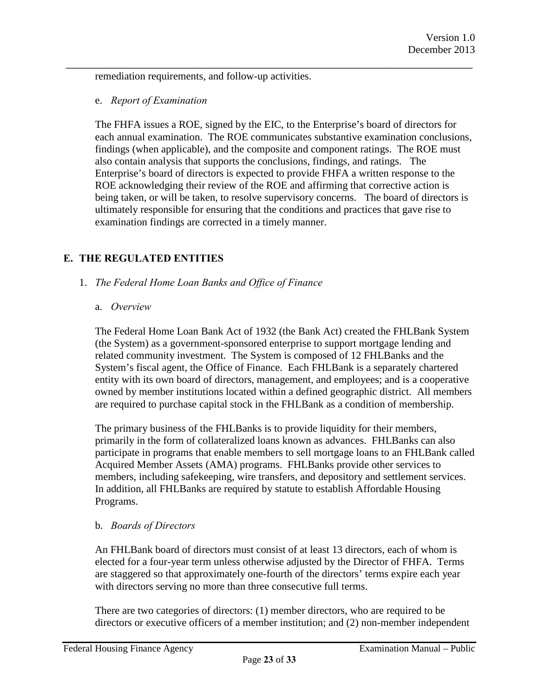remediation requirements, and follow-up activities.

#### e. *Report of Examination*

The FHFA issues a ROE, signed by the EIC, to the Enterprise's board of directors for each annual examination. The ROE communicates substantive examination conclusions, findings (when applicable), and the composite and component ratings. The ROE must also contain analysis that supports the conclusions, findings, and ratings. The Enterprise's board of directors is expected to provide FHFA a written response to the ROE acknowledging their review of the ROE and affirming that corrective action is being taken, or will be taken, to resolve supervisory concerns. The board of directors is ultimately responsible for ensuring that the conditions and practices that gave rise to examination findings are corrected in a timely manner.

\_\_\_\_\_\_\_\_\_\_\_\_\_\_\_\_\_\_\_\_\_\_\_\_\_\_\_\_\_\_\_\_\_\_\_\_\_\_\_\_\_\_\_\_\_\_\_\_\_\_\_\_\_\_\_\_\_\_\_\_\_\_\_\_\_\_

#### <span id="page-22-0"></span>**E. THE REGULATED ENTITIES**

#### <span id="page-22-1"></span>1. *The Federal Home Loan Banks and Office of Finance*

#### a. *Overview*

The Federal Home Loan Bank Act of 1932 (the Bank Act) created the FHLBank System (the System) as a government-sponsored enterprise to support mortgage lending and related community investment. The System is composed of 12 FHLBanks and the System's fiscal agent, the Office of Finance. Each FHLBank is a separately chartered entity with its own board of directors, management, and employees; and is a cooperative owned by member institutions located within a defined geographic district. All members are required to purchase capital stock in the FHLBank as a condition of membership.

The primary business of the FHLBanks is to provide liquidity for their members, primarily in the form of collateralized loans known as advances. FHLBanks can also participate in programs that enable members to sell mortgage loans to an FHLBank called Acquired Member Assets (AMA) programs. FHLBanks provide other services to members, including safekeeping, wire transfers, and depository and settlement services. In addition, all FHLBanks are required by statute to establish Affordable Housing Programs.

#### b. *Boards of Directors*

An FHLBank board of directors must consist of at least 13 directors, each of whom is elected for a four-year term unless otherwise adjusted by the Director of FHFA. Terms are staggered so that approximately one-fourth of the directors' terms expire each year with directors serving no more than three consecutive full terms.

There are two categories of directors: (1) member directors, who are required to be directors or executive officers of a member institution; and (2) non-member independent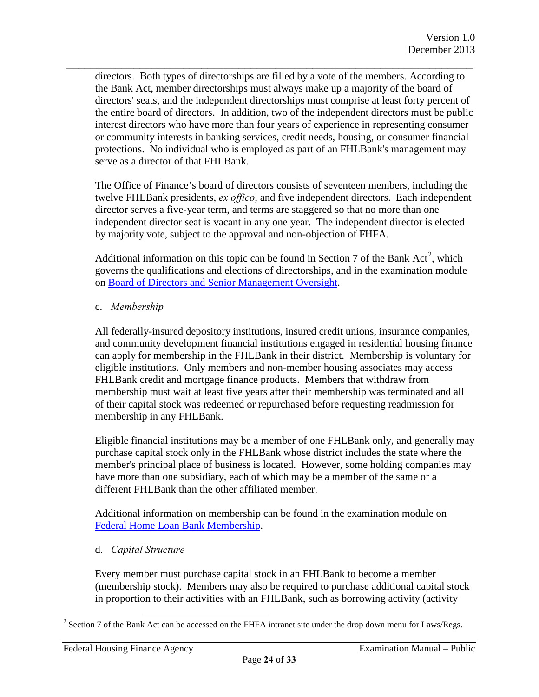\_\_\_\_\_\_\_\_\_\_\_\_\_\_\_\_\_\_\_\_\_\_\_\_\_\_\_\_\_\_\_\_\_\_\_\_\_\_\_\_\_\_\_\_\_\_\_\_\_\_\_\_\_\_\_\_\_\_\_\_\_\_\_\_\_\_ directors. Both types of directorships are filled by a vote of the members. According to the Bank Act, member directorships must always make up a majority of the board of directors' seats, and the independent directorships must comprise at least forty percent of the entire board of directors. In addition, two of the independent directors must be public interest directors who have more than four years of experience in representing consumer or community interests in banking services, credit needs, housing, or consumer financial protections. No individual who is employed as part of an FHLBank's management may serve as a director of that FHLBank.

The Office of Finance's board of directors consists of seventeen members, including the twelve FHLBank presidents, *ex offico*, and five independent directors. Each independent director serves a five-year term, and terms are staggered so that no more than one independent director seat is vacant in any one year. The independent director is elected by majority vote, subject to the approval and non-objection of FHFA.

Additional information on this topic can be found in Section 7 of the Bank  $Act^2$  $Act^2$ , which [governs the qualifications and elections of directorships, and in the exa](http://www.fhfa.gov/SupervisionRegulation/Documents/Board_of_Directors_and_Senior_Management_Oversight_Module_Final_Version_1.0_508.pdf)mination module on Board of Directors and Senior Management Oversight.

#### c. *Membership*

All federally-insured depository institutions, insured credit unions, insurance companies, and community development financial institutions engaged in residential housing finance can apply for membership in the FHLBank in their district. Membership is voluntary for eligible institutions. Only members and non-member housing associates may access FHLBank credit and mortgage finance products. Members that withdraw from membership must wait at least five years after their membership was terminated and all of their capital stock was redeemed or repurchased before requesting readmission for membership in any FHLBank.

Eligible financial institutions may be a member of one FHLBank only, and generally may purchase capital stock only in the FHLBank whose district includes the state where the member's principal place of business is located. However, some holding companies may have more than one subsidiary, each of which may be a member of the same or a different FHLBank than the other affiliated member.

[Additional information on membership can be found in the ex](http://www.fhfa.gov/SupervisionRegulation/Documents/Federal_Home_Loan_Bank_Membership_Module_Final_Version_1.0_508.pdf)amination module on Federal Home Loan Bank Membership.

#### d. *Capital Structure*

Every member must purchase capital stock in an FHLBank to become a member (membership stock). Members may also be required to purchase additional capital stock in proportion to their activities with an FHLBank, such as borrowing activity (activity

<span id="page-23-0"></span> $2^2$  Section 7 of the Bank Act can be accessed on the FHFA intranet site under the drop down menu for Laws/Regs.  $\overline{a}$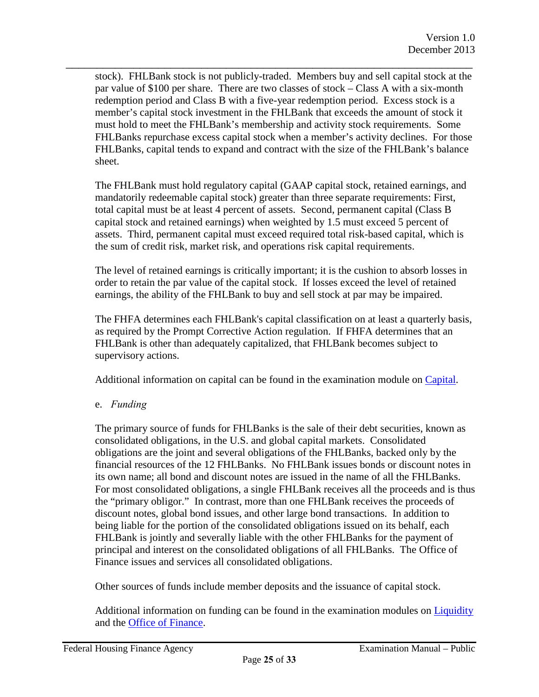stock). FHLBank stock is not publicly-traded. Members buy and sell capital stock at the par value of \$100 per share. There are two classes of stock – Class A with a six-month redemption period and Class B with a five-year redemption period. Excess stock is a member's capital stock investment in the FHLBank that exceeds the amount of stock it must hold to meet the FHLBank's membership and activity stock requirements. Some FHLBanks repurchase excess capital stock when a member's activity declines. For those FHLBanks, capital tends to expand and contract with the size of the FHLBank's balance sheet.

\_\_\_\_\_\_\_\_\_\_\_\_\_\_\_\_\_\_\_\_\_\_\_\_\_\_\_\_\_\_\_\_\_\_\_\_\_\_\_\_\_\_\_\_\_\_\_\_\_\_\_\_\_\_\_\_\_\_\_\_\_\_\_\_\_\_

The FHLBank must hold regulatory capital (GAAP capital stock, retained earnings, and mandatorily redeemable capital stock) greater than three separate requirements: First, total capital must be at least 4 percent of assets. Second, permanent capital (Class B capital stock and retained earnings) when weighted by 1.5 must exceed 5 percent of assets. Third, permanent capital must exceed required total risk-based capital, which is the sum of credit risk, market risk, and operations risk capital requirements.

The level of retained earnings is critically important; it is the cushion to absorb losses in order to retain the par value of the capital stock. If losses exceed the level of retained earnings, the ability of the FHLBank to buy and sell stock at par may be impaired.

The FHFA determines each FHLBank's capital classification on at least a quarterly basis, as required by the Prompt Corrective Action regulation. If FHFA determines that an FHLBank is other than adequately capitalized, that FHLBank becomes subject to supervisory actions.

Additional information on capital can be found in the examination modul[e on Capital.](http://www.fhfa.gov/SupervisionRegulation/Documents/Capital-Module.pdf) 

e. *Funding* 

The primary source of funds for FHLBanks is the sale of their debt securities, known as consolidated obligations, in the U.S. and global capital markets. Consolidated obligations are the joint and several obligations of the FHLBanks, backed only by the financial resources of the 12 FHLBanks. No FHLBank issues bonds or discount notes in its own name; all bond and discount notes are issued in the name of all the FHLBanks. For most consolidated obligations, a single FHLBank receives all the proceeds and is thus the "primary obligor." In contrast, more than one FHLBank receives the proceeds of discount notes, global bond issues, and other large bond transactions. In addition to being liable for the portion of the consolidated obligations issued on its behalf, each FHLBank is jointly and severally liable with the other FHLBanks for the payment of principal and interest on the consolidated obligations of all FHLBanks. The Office of Finance issues and services all consolidated obligations.

Other sources of funds include member deposits and the issuance of capital stock.

Additional information on funding can be found in the examination modul[es on Liquidity](http://www.fhfa.gov/SupervisionRegulation/Documents/LiquidityModuleFinalVersion1_0-508.pdf) and t[he Office of Finance.](http://www.fhfa.gov/SupervisionRegulation/Documents/Office_of_Finance_Module_Final_Version_1.0_508.pdf)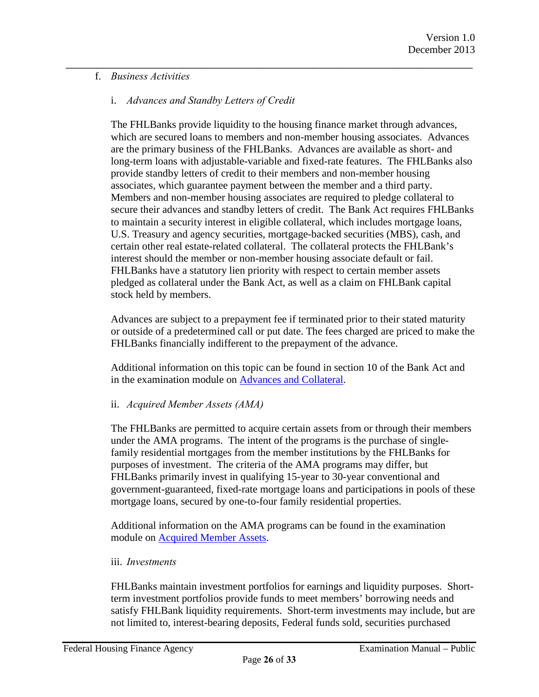#### f. *Business Activities*

#### i. *Advances and Standby Letters of Credit*

The FHLBanks provide liquidity to the housing finance market through advances, which are secured loans to members and non-member housing associates. Advances are the primary business of the FHLBanks. Advances are available as short- and long-term loans with adjustable-variable and fixed-rate features. The FHLBanks also provide standby letters of credit to their members and non-member housing associates, which guarantee payment between the member and a third party. Members and non-member housing associates are required to pledge collateral to secure their advances and standby letters of credit. The Bank Act requires FHLBanks to maintain a security interest in eligible collateral, which includes mortgage loans, U.S. Treasury and agency securities, mortgage-backed securities (MBS), cash, and certain other real estate-related collateral. The collateral protects the FHLBank's interest should the member or non-member housing associate default or fail. FHLBanks have a statutory lien priority with respect to certain member assets pledged as collateral under the Bank Act, as well as a claim on FHLBank capital stock held by members.

\_\_\_\_\_\_\_\_\_\_\_\_\_\_\_\_\_\_\_\_\_\_\_\_\_\_\_\_\_\_\_\_\_\_\_\_\_\_\_\_\_\_\_\_\_\_\_\_\_\_\_\_\_\_\_\_\_\_\_\_\_\_\_\_\_\_

Advances are subject to a prepayment fee if terminated prior to their stated maturity or outside of a predetermined call or put date. The fees charged are priced to make the FHLBanks financially indifferent to the prepayment of the advance.

Additional information on [this topic can be found in section 10](http://www.fhfa.gov/SupervisionRegulation/Documents/Advances-and-Collateral-Module_2014_revision.pdf) of the Bank Act and in the examination module on Advances and Collateral.

#### ii. *Acquired Member Assets (AMA)*

The FHLBanks are permitted to acquire certain assets from or through their members under the AMA programs. The intent of the programs is the purchase of singlefamily residential mortgages from the member institutions by the FHLBanks for purposes of investment. The criteria of the AMA programs may differ, but FHLBanks primarily invest in qualifying 15-year to 30-year conventional and government-guaranteed, fixed-rate mortgage loans and participations in pools of these mortgage loans, secured by one-to-four family residential properties.

Additio[nal information on the AMA program](http://www.fhfa.gov/SupervisionRegulation/Documents/Acquired-Member-Assets-Module-2014-revision.pdf)s can be found in the examination module on Acquired Member Assets.

#### iii. *Investments*

FHLBanks maintain investment portfolios for earnings and liquidity purposes. Shortterm investment portfolios provide funds to meet members' borrowing needs and satisfy FHLBank liquidity requirements. Short-term investments may include, but are not limited to, interest-bearing deposits, Federal funds sold, securities purchased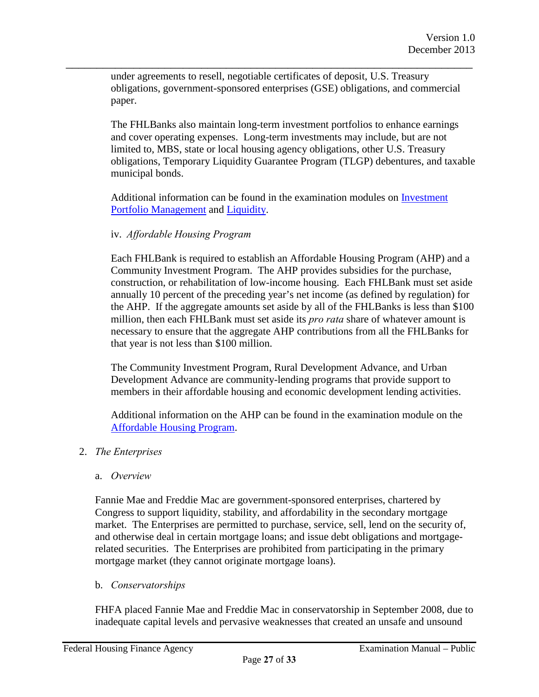under agreements to resell, negotiable certificates of deposit, U.S. Treasury obligations, government-sponsored enterprises (GSE) obligations, and commercial paper.

\_\_\_\_\_\_\_\_\_\_\_\_\_\_\_\_\_\_\_\_\_\_\_\_\_\_\_\_\_\_\_\_\_\_\_\_\_\_\_\_\_\_\_\_\_\_\_\_\_\_\_\_\_\_\_\_\_\_\_\_\_\_\_\_\_\_

The FHLBanks also maintain long-term investment portfolios to enhance earnings and cover operating expenses. Long-term investments may include, but are not limited to, MBS, state or local housing agency obligations, other U.S. Treasury obligations, Temporary Liquidity Guarantee Program (TLGP) debentures, and taxable municipal bonds.

Additional information can be found in the examination modul[es on Investment](http://www.fhfa.gov/SupervisionRegulation/Documents/Investment_Portfolio_Management_Module_Final_Version_1_0-508.pdf)  [Portfolio Management](http://www.fhfa.gov/SupervisionRegulation/Documents/Investment_Portfolio_Management_Module_Final_Version_1_0-508.pdf) a[nd Liquidity.](http://www.fhfa.gov/SupervisionRegulation/Documents/LiquidityModuleFinalVersion1_0-508.pdf) 

#### iv. *Affordable Housing Program*

Each FHLBank is required to establish an Affordable Housing Program (AHP) and a Community Investment Program. The AHP provides subsidies for the purchase, construction, or rehabilitation of low-income housing. Each FHLBank must set aside annually 10 percent of the preceding year's net income (as defined by regulation) for the AHP. If the aggregate amounts set aside by all of the FHLBanks is less than \$100 million, then each FHLBank must set aside its *pro rata* share of whatever amount is necessary to ensure that the aggregate AHP contributions from all the FHLBanks for that year is not less than \$100 million.

The Community Investment Program, Rural Development Advance, and Urban Development Advance are community-lending programs that provide support to members in their affordable housing and economic development lending activities.

[Additional information on the AHP can be fou](http://www.fhfa.gov/SupervisionRegulation/Documents/Affordable_Housing_Program_Module_Final_Version_1.0_508.pdf)nd in the examination module on the Affordable Housing Program.

#### <span id="page-26-0"></span>2. *The Enterprises*

a. *Overview* 

Fannie Mae and Freddie Mac are government-sponsored enterprises, chartered by Congress to support liquidity, stability, and affordability in the secondary mortgage market. The Enterprises are permitted to purchase, service, sell, lend on the security of, and otherwise deal in certain mortgage loans; and issue debt obligations and mortgagerelated securities. The Enterprises are prohibited from participating in the primary mortgage market (they cannot originate mortgage loans).

b. *Conservatorships* 

FHFA placed Fannie Mae and Freddie Mac in conservatorship in September 2008, due to inadequate capital levels and pervasive weaknesses that created an unsafe and unsound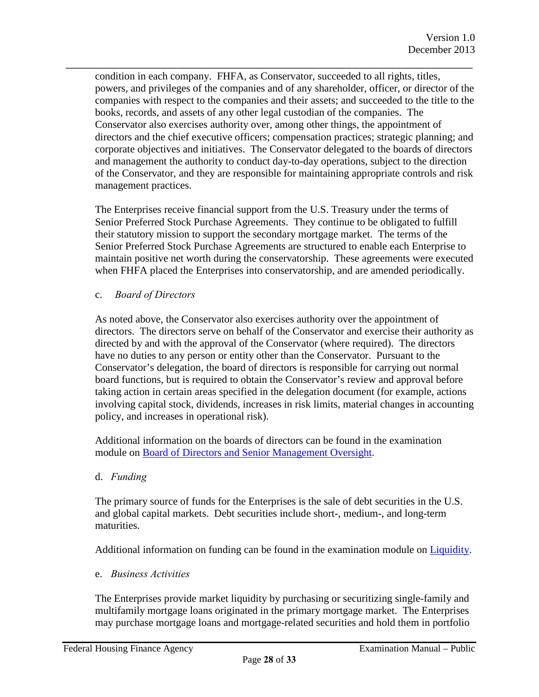condition in each company. FHFA, as Conservator, succeeded to all rights, titles, powers, and privileges of the companies and of any shareholder, officer, or director of the companies with respect to the companies and their assets; and succeeded to the title to the books, records, and assets of any other legal custodian of the companies. The Conservator also exercises authority over, among other things, the appointment of directors and the chief executive officers; compensation practices; strategic planning; and corporate objectives and initiatives. The Conservator delegated to the boards of directors and management the authority to conduct day-to-day operations, subject to the direction of the Conservator, and they are responsible for maintaining appropriate controls and risk management practices.

\_\_\_\_\_\_\_\_\_\_\_\_\_\_\_\_\_\_\_\_\_\_\_\_\_\_\_\_\_\_\_\_\_\_\_\_\_\_\_\_\_\_\_\_\_\_\_\_\_\_\_\_\_\_\_\_\_\_\_\_\_\_\_\_\_\_

The Enterprises receive financial support from the U.S. Treasury under the terms of Senior Preferred Stock Purchase Agreements. They continue to be obligated to fulfill their statutory mission to support the secondary mortgage market. The terms of the Senior Preferred Stock Purchase Agreements are structured to enable each Enterprise to maintain positive net worth during the conservatorship. These agreements were executed when FHFA placed the Enterprises into conservatorship, and are amended periodically.

c. *Board of Directors* 

As noted above, the Conservator also exercises authority over the appointment of directors. The directors serve on behalf of the Conservator and exercise their authority as directed by and with the approval of the Conservator (where required). The directors have no duties to any person or entity other than the Conservator. Pursuant to the Conservator's delegation, the board of directors is responsible for carrying out normal board functions, but is required to obtain the Conservator's review and approval before taking action in certain areas specified in the delegation document (for example, actions involving capital stock, dividends, increases in risk limits, material changes in accounting policy, and increases in operational risk).

Additi[onal information on the boards of directors can be found in the examination](http://www.fhfa.gov/SupervisionRegulation/Documents/Board_of_Directors_and_Senior_Management_Oversight_Module_Final_Version_1.0_508.pdf)  module on Board of Directors and Senior Management Oversight.

d. *Funding* 

The primary source of funds for the Enterprises is the sale of debt securities in the U.S. and global capital markets. Debt securities include short-, medium-, and long-term maturities.

Additional information on funding can be found in the examination module [on Liquidity.](http://www.fhfa.gov/SupervisionRegulation/Documents/LiquidityModuleFinalVersion1_0-508.pdf) 

e. *Business Activities*

The Enterprises provide market liquidity by purchasing or securitizing single-family and multifamily mortgage loans originated in the primary mortgage market. The Enterprises may purchase mortgage loans and mortgage-related securities and hold them in portfolio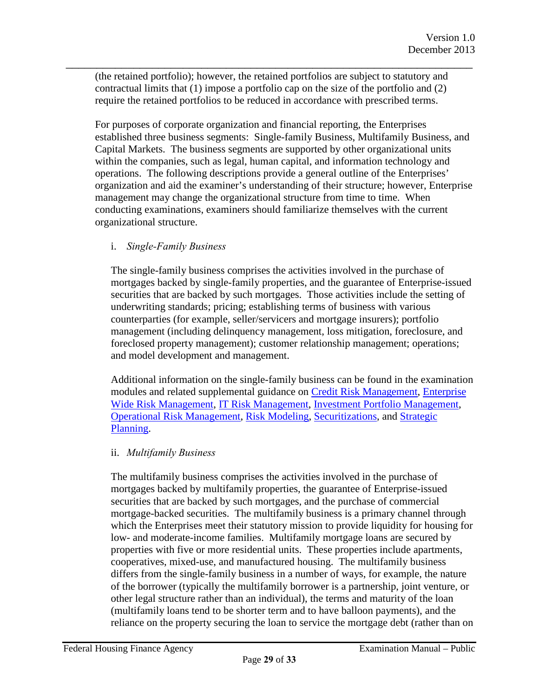(the retained portfolio); however, the retained portfolios are subject to statutory and contractual limits that (1) impose a portfolio cap on the size of the portfolio and (2) require the retained portfolios to be reduced in accordance with prescribed terms.

\_\_\_\_\_\_\_\_\_\_\_\_\_\_\_\_\_\_\_\_\_\_\_\_\_\_\_\_\_\_\_\_\_\_\_\_\_\_\_\_\_\_\_\_\_\_\_\_\_\_\_\_\_\_\_\_\_\_\_\_\_\_\_\_\_\_

For purposes of corporate organization and financial reporting, the Enterprises established three business segments: Single-family Business, Multifamily Business, and Capital Markets. The business segments are supported by other organizational units within the companies, such as legal, human capital, and information technology and operations. The following descriptions provide a general outline of the Enterprises' organization and aid the examiner's understanding of their structure; however, Enterprise management may change the organizational structure from time to time. When conducting examinations, examiners should familiarize themselves with the current organizational structure.

#### i. *Single-Family Business*

The single-family business comprises the activities involved in the purchase of mortgages backed by single-family properties, and the guarantee of Enterprise-issued securities that are backed by such mortgages. Those activities include the setting of underwriting standards; pricing; establishing terms of business with various counterparties (for example, seller/servicers and mortgage insurers); portfolio management (including delinquency management, loss mitigation, foreclosure, and foreclosed property management); customer relationship management; operations; and model development and management.

Additional information on the single-family business can be found in the examination modules and related supplemental guidance [on Credit Risk Managemen](http://www.fhfa.gov/SupervisionRegulation/Documents/Credit_Risk_Management_Module_Final_Version_1.0_508.pdf)t, [Enterprise](http://www.fhfa.gov/SupervisionRegulation/Documents/Enterprise-wide_Risk_Management_Module_Final_Version_1.0_508.pdf)  [Wide Risk Management,](http://www.fhfa.gov/SupervisionRegulation/Documents/Enterprise-) [IT Risk Management,](http://www.fhfa.gov/SupervisionRegulation/Documents/Interest_Rate_Risk_Management_Module_Final_Version_1.0_508.pdf) [Investment Portfolio Management,](http://www.fhfa.gov/SupervisionRegulation/Documents/Investment_Portfolio_Management_Module_Final_Version_1_0-508.pdf)  [Operational Risk Management,](http://www.fhfa.gov/SupervisionRegulation/Documents/OperationalRiskManagementProgramModuleFinalVersion1_0-508.pdf) [Risk Modeling, S](http://www.fhfa.gov/SupervisionRegulation/Documents/Risk_Modeling_Module_Final_Version_1.0_508.pdf)[ecuritizations,](http://www.fhfa.gov/SupervisionRegulation/Documents/Securitizations_Module_Final_Version_1.0_508.pdf) an[d Strategic](http://www.fhfa.gov/SupervisionRegulation/Documents/Strategic_Planning_Module_Final_Version_1.0-508.pdf)  [Planning.](http://www.fhfa.gov/SupervisionRegulation/Documents/Strategic_Planning_Module_Final_Version_1.0-508.pdf) 

#### ii. *Multifamily Business*

The multifamily business comprises the activities involved in the purchase of mortgages backed by multifamily properties, the guarantee of Enterprise-issued securities that are backed by such mortgages, and the purchase of commercial mortgage-backed securities. The multifamily business is a primary channel through which the Enterprises meet their statutory mission to provide liquidity for housing for low- and moderate-income families. Multifamily mortgage loans are secured by properties with five or more residential units. These properties include apartments, cooperatives, mixed-use, and manufactured housing. The multifamily business differs from the single-family business in a number of ways, for example, the nature of the borrower (typically the multifamily borrower is a partnership, joint venture, or other legal structure rather than an individual), the terms and maturity of the loan (multifamily loans tend to be shorter term and to have balloon payments), and the reliance on the property securing the loan to service the mortgage debt (rather than on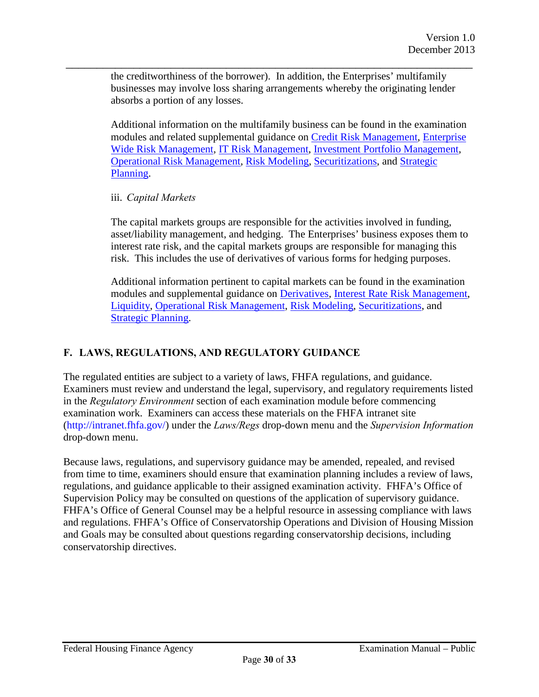\_\_\_\_\_\_\_\_\_\_\_\_\_\_\_\_\_\_\_\_\_\_\_\_\_\_\_\_\_\_\_\_\_\_\_\_\_\_\_\_\_\_\_\_\_\_\_\_\_\_\_\_\_\_\_\_\_\_\_\_\_\_\_\_\_\_ the creditworthiness of the borrower). In addition, the Enterprises' multifamily businesses may involve loss sharing arrangements whereby the originating lender absorbs a portion of any losses.

> Additional information on the multifamily business can be found in the examination modules and related supplemental guidance on [Credit Risk Management,](http://www.fhfa.gov/SupervisionRegulation/Documents/Credit_Risk_Management_Module_Final_Version_1.0_508.pdf) [Enterprise](http://www.fhfa.gov/SupervisionRegulation/Documents/Enterprise-wide_Risk_Management_Module_Final_Version_1.0_508.pdf)  [Wide Risk Management](http://www.fhfa.gov/SupervisionRegulation/Documents/Enterprise-wide_Risk_Management_Module_Final_Version_1.0_508.pdf), [IT Risk Management,](http://www.fhfa.gov/SupervisionRegulation/Documents/Interest_Rate_Risk_Management_Module_Final_Version_1.0_508.pdf) [Investment Portfolio Management,](http://www.fhfa.gov/SupervisionRegulation/Documents/Investment_Portfolio_Management_Module_Final_Version_1_0-508.pdf)  [Operational Risk Management,](http://www.fhfa.gov/SupervisionRegulation/Documents/OperationalRiskManagementProgramModuleFinalVersion1_0-508.pdf) [Risk Modeling,](http://www.fhfa.gov/SupervisionRegulation/Documents/Risk_Modeling_Module_Final_Version_1.0_508.pdf) [Securitizations, an](http://www.fhfa.gov/SupervisionRegulation/Documents/Securitizations_Module_Final_Version_1.0_508.pdf)d [Strategic](http://www.fhfa.gov/SupervisionRegulation/Documents/Strategic_Planning_Module_Final_Version_1.0-508.pdf)  [Planning.](http://www.fhfa.gov/SupervisionRegulation/Documents/Strategic_Planning_Module_Final_Version_1.0-508.pdf)

#### iii. *Capital Markets*

The capital markets groups are responsible for the activities involved in funding, asset/liability management, and hedging. The Enterprises' business exposes them to interest rate risk, and the capital markets groups are responsible for managing this risk. This includes the use of derivatives of various forms for hedging purposes.

Additional information pertinent to capital markets can be found in the examination modules and supplemental guidance [on Derivatives,](http://www.fhfa.gov/SupervisionRegulation/Documents/Derivatives_Module_Final_Version_1.0_508.pdf) [Interest Rate Risk Management,](http://www.fhfa.gov/SupervisionRegulation/Documents/Interest_Rate_Risk_Management_Module_Final_Version_1.0_508.pdf)  [Liquidity,](http://www.fhfa.gov/SupervisionRegulation/Documents/LiquidityModuleFinalVersion1_0-508.pdf) [Operational Risk Management,](http://www.fhfa.gov/SupervisionRegulation/Documents/OperationalRiskManagementProgramModuleFinalVersion1_0-508.pdf) [Risk Modeling,](http://www.fhfa.gov/SupervisionRegulation/Documents/Risk_Modeling_Module_Final_Version_1.0_508.pdf) [Securitizations, a](http://www.fhfa.gov/SupervisionRegulation/Documents/Securitizations_Module_Final_Version_1.0_508.pdf)nd [Strategic Planning.](http://www.fhfa.gov/SupervisionRegulation/Documents/Strategic_Planning_Module_Final_Version_1.0-508.pdf) 

#### <span id="page-29-0"></span>**F. LAWS, REGULATIONS, AND REGULATORY GUIDANCE**

The regulated entities are subject to a variety of laws, FHFA regulations, and guidance. Examiners must review and understand the legal, supervisory, and regulatory requirements listed in the *Regulatory Environment* section of each examination module before commencing examination work. Examiners can access these materials on the FHFA intranet site (http://intranet.fhfa.gov/) under the *Laws/Regs* drop-down menu and the *Supervision Information* drop-down menu.

Because laws, regulations, and supervisory guidance may be amended, repealed, and revised from time to time, examiners should ensure that examination planning includes a review of laws, regulations, and guidance applicable to their assigned examination activity. FHFA's Office of Supervision Policy may be consulted on questions of the application of supervisory guidance. FHFA's Office of General Counsel may be a helpful resource in assessing compliance with laws and regulations. FHFA's Office of Conservatorship Operations and Division of Housing Mission and Goals may be consulted about questions regarding conservatorship decisions, including conservatorship directives.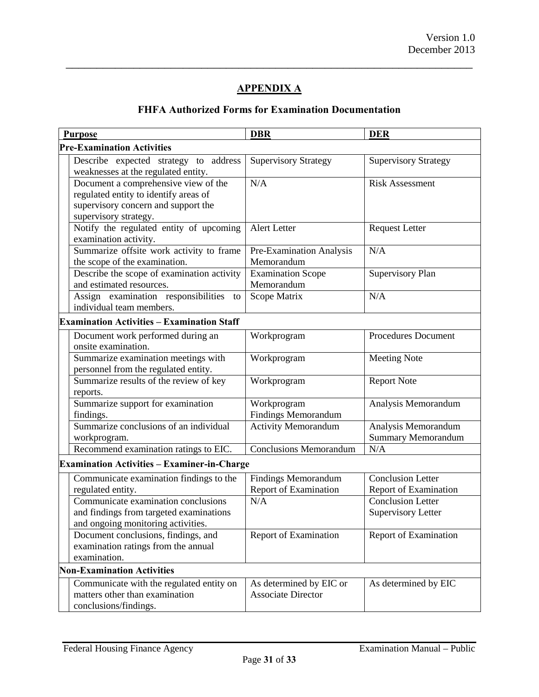# **APPENDIX A**

<span id="page-30-0"></span>\_\_\_\_\_\_\_\_\_\_\_\_\_\_\_\_\_\_\_\_\_\_\_\_\_\_\_\_\_\_\_\_\_\_\_\_\_\_\_\_\_\_\_\_\_\_\_\_\_\_\_\_\_\_\_\_\_\_\_\_\_\_\_\_\_\_

# **FHFA Authorized Forms for Examination Documentation**

| <b>Purpose</b>                                                                                                                                |    | <b>DBR</b>                                           | <b>DER</b>                                        |  |  |
|-----------------------------------------------------------------------------------------------------------------------------------------------|----|------------------------------------------------------|---------------------------------------------------|--|--|
| <b>Pre-Examination Activities</b>                                                                                                             |    |                                                      |                                                   |  |  |
| Describe expected strategy to address<br>weaknesses at the regulated entity.                                                                  |    | <b>Supervisory Strategy</b>                          | <b>Supervisory Strategy</b>                       |  |  |
| Document a comprehensive view of the<br>regulated entity to identify areas of<br>supervisory concern and support the<br>supervisory strategy. |    | N/A                                                  | <b>Risk Assessment</b>                            |  |  |
| Notify the regulated entity of upcoming<br>examination activity.                                                                              |    | Alert Letter                                         | <b>Request Letter</b>                             |  |  |
| Summarize offsite work activity to frame<br>the scope of the examination.                                                                     |    | Pre-Examination Analysis<br>Memorandum               | N/A                                               |  |  |
| Describe the scope of examination activity<br>and estimated resources.                                                                        |    | <b>Examination Scope</b><br>Memorandum               | Supervisory Plan                                  |  |  |
| Assign examination responsibilities<br>individual team members.                                                                               | to | Scope Matrix                                         | N/A                                               |  |  |
| <b>Examination Activities - Examination Staff</b>                                                                                             |    |                                                      |                                                   |  |  |
| Document work performed during an<br>onsite examination.                                                                                      |    | Workprogram                                          | <b>Procedures Document</b>                        |  |  |
| Summarize examination meetings with<br>personnel from the regulated entity.                                                                   |    | Workprogram                                          | <b>Meeting Note</b>                               |  |  |
| Summarize results of the review of key<br>reports.                                                                                            |    | Workprogram                                          | <b>Report Note</b>                                |  |  |
| Summarize support for examination<br>findings.                                                                                                |    | Workprogram<br><b>Findings Memorandum</b>            | Analysis Memorandum                               |  |  |
| Summarize conclusions of an individual<br>workprogram.                                                                                        |    | <b>Activity Memorandum</b>                           | Analysis Memorandum<br><b>Summary Memorandum</b>  |  |  |
| Recommend examination ratings to EIC.                                                                                                         |    | <b>Conclusions Memorandum</b>                        | N/A                                               |  |  |
| <b>Examination Activities - Examiner-in-Charge</b>                                                                                            |    |                                                      |                                                   |  |  |
| Communicate examination findings to the<br>regulated entity.                                                                                  |    | <b>Findings Memorandum</b><br>Report of Examination  | <b>Conclusion Letter</b><br>Report of Examination |  |  |
| Communicate examination conclusions<br>and findings from targeted examinations<br>and ongoing monitoring activities.                          |    | N/A                                                  | Conclusion Letter<br><b>Supervisory Letter</b>    |  |  |
| Document conclusions, findings, and<br>examination ratings from the annual<br>examination.                                                    |    | Report of Examination                                | <b>Report of Examination</b>                      |  |  |
| <b>Non-Examination Activities</b>                                                                                                             |    |                                                      |                                                   |  |  |
| Communicate with the regulated entity on<br>matters other than examination<br>conclusions/findings.                                           |    | As determined by EIC or<br><b>Associate Director</b> | As determined by EIC                              |  |  |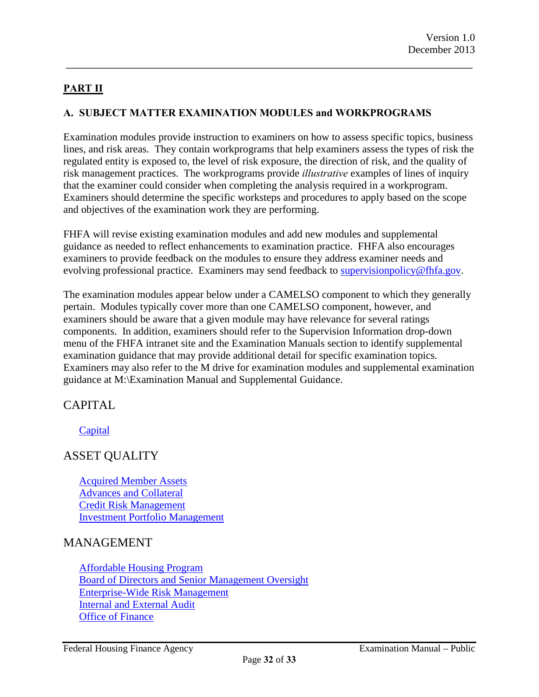# <span id="page-31-0"></span>**PART II**

#### <span id="page-31-1"></span>**A. SUBJECT MATTER EXAMINATION MODULES and WORKPROGRAMS**

Examination modules provide instruction to examiners on how to assess specific topics, business lines, and risk areas. They contain workprograms that help examiners assess the types of risk the regulated entity is exposed to, the level of risk exposure, the direction of risk, and the quality of risk management practices. The workprograms provide *illustrative* examples of lines of inquiry that the examiner could consider when completing the analysis required in a workprogram. Examiners should determine the specific worksteps and procedures to apply based on the scope and objectives of the examination work they are performing.

\_\_\_\_\_\_\_\_\_\_\_\_\_\_\_\_\_\_\_\_\_\_\_\_\_\_\_\_\_\_\_\_\_\_\_\_\_\_\_\_\_\_\_\_\_\_\_\_\_\_\_\_\_\_\_\_\_\_\_\_\_\_\_\_\_\_

FHFA will revise existing examination modules and add new modules and supplemental guidance as needed to reflect enhancements to examination practice. FHFA also encourages examiners to provide feedback on the modules to ensure they address examiner needs and evolving professional practice. Examiners may send feedback to [supervisionpolicy@fhfa.gov.](mailto:supervisionpolicy@fhfa.gov)

The examination modules appear below under a CAMELSO component to which they generally pertain. Modules typically cover more than one CAMELSO component, however, and examiners should be aware that a given module may have relevance for several ratings components. In addition, examiners should refer to the Supervision Information drop-down menu of the FHFA intranet site and the Examination Manuals section to identify supplemental examination guidance that may provide additional detail for specific examination topics. Examiners may also refer to the M drive for examination modules and supplemental examination guidance at M:\Examination Manual and Supplemental Guidance.

# CAPITAL

**[Capital](http://www.int.fhfa.gov/SupervisionRegulation/Documents/Capital-Module.pdf)** 

# ASSET QUALITY

[Acquired Member Assets](http://www.fhfa.gov/SupervisionRegulation/Documents/Acquired-Member-Assets-Module-2014-revision.pdf)  [Advances and Collateral](http://www.fhfa.gov/SupervisionRegulation/Documents/Advances-and-Collateral-Module_2014_revision.pdf)  [Credit Risk Management](http://www.fhfa.gov/SupervisionRegulation/Documents/Credit_Risk_Management_Module_Final_Version_1.0_508.pdf)  [Investment Portfolio Management](http://www.fhfa.gov/SupervisionRegulation/Documents/Investment_Portfolio_Management_Module_Final_Version_1_0-508.pdf)

#### MANAGEMENT

[Affordable Housing Program](http://www.fhfa.gov/SupervisionRegulation/Documents/Affordable_Housing_Program_Module_Final_Version_1.0_508.pdf)  [Board of Directors and Senior Management Oversight](http://www.fhfa.gov/SupervisionRegulation/Documents/Board_of_Directors_and_Senior_Management_Oversight_Module_Final_Version_1.0_508.pdf) [Enterprise-Wide Risk Management](http://www.fhfa.gov/SupervisionRegulation/Documents/Enterprise-wide_Risk_Management_Module_Final_Version_1.0_508.pdf)  [Internal and External Audit](http://www.fhfa.gov/SupervisionRegulation/Documents/Internal_and_External_Audit_Module_Final_Version_1_0-508.pdf)  [Office of Finance](http://www.fhfa.gov/SupervisionRegulation/Documents/Office_of_Finance_Module_Final_Version_1.0_508.pdf)